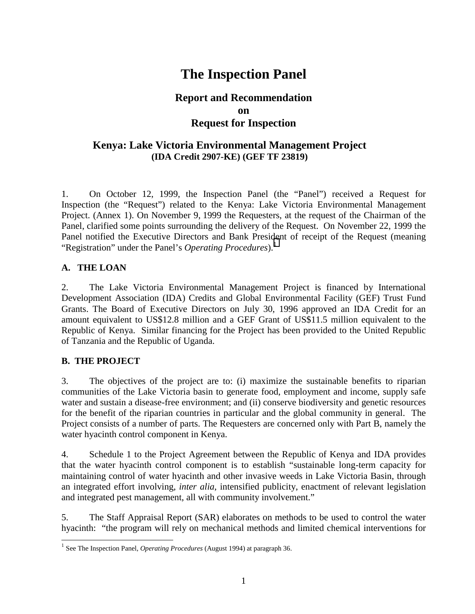# **The Inspection Panel**

# **Report and Recommendation on Request for Inspection**

# **Kenya: Lake Victoria Environmental Management Project (IDA Credit 2907-KE) (GEF TF 23819)**

1. On October 12, 1999, the Inspection Panel (the "Panel") received a Request for Inspection (the "Request") related to the Kenya: Lake Victoria Environmental Management Project. (Annex 1). On November 9, 1999 the Requesters, at the request of the Chairman of the Panel, clarified some points surrounding the delivery of the Request. On November 22, 1999 the Panel notified the Executive Directors and Bank President of receipt of the Request (meaning "Registration" under the Panel's *Operating Procedures*).<sup>1</sup>

# **A. THE LOAN**

2. The Lake Victoria Environmental Management Project is financed by International Development Association (IDA) Credits and Global Environmental Facility (GEF) Trust Fund Grants. The Board of Executive Directors on July 30, 1996 approved an IDA Credit for an amount equivalent to US\$12.8 million and a GEF Grant of US\$11.5 million equivalent to the Republic of Kenya. Similar financing for the Project has been provided to the United Republic of Tanzania and the Republic of Uganda.

# **B. THE PROJECT**

 $\overline{a}$ 

3. The objectives of the project are to: (i) maximize the sustainable benefits to riparian communities of the Lake Victoria basin to generate food, employment and income, supply safe water and sustain a disease-free environment; and (ii) conserve biodiversity and genetic resources for the benefit of the riparian countries in particular and the global community in general. The Project consists of a number of parts. The Requesters are concerned only with Part B, namely the water hyacinth control component in Kenya.

4. Schedule 1 to the Project Agreement between the Republic of Kenya and IDA provides that the water hyacinth control component is to establish "sustainable long-term capacity for maintaining control of water hyacinth and other invasive weeds in Lake Victoria Basin, through an integrated effort involving, *inter alia*, intensified publicity, enactment of relevant legislation and integrated pest management, all with community involvement."

5. The Staff Appraisal Report (SAR) elaborates on methods to be used to control the water hyacinth: "the program will rely on mechanical methods and limited chemical interventions for

<sup>1</sup> See The Inspection Panel, *Operating Procedures* (August 1994) at paragraph 36.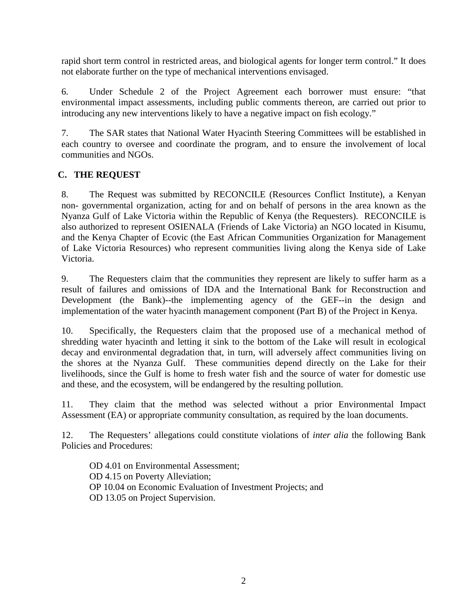rapid short term control in restricted areas, and biological agents for longer term control." It does not elaborate further on the type of mechanical interventions envisaged.

6. Under Schedule 2 of the Project Agreement each borrower must ensure: "that environmental impact assessments, including public comments thereon, are carried out prior to introducing any new interventions likely to have a negative impact on fish ecology."

7. The SAR states that National Water Hyacinth Steering Committees will be established in each country to oversee and coordinate the program, and to ensure the involvement of local communities and NGOs.

# **C. THE REQUEST**

8. The Request was submitted by RECONCILE (Resources Conflict Institute), a Kenyan non- governmental organization, acting for and on behalf of persons in the area known as the Nyanza Gulf of Lake Victoria within the Republic of Kenya (the Requesters). RECONCILE is also authorized to represent OSIENALA (Friends of Lake Victoria) an NGO located in Kisumu, and the Kenya Chapter of Ecovic (the East African Communities Organization for Management of Lake Victoria Resources) who represent communities living along the Kenya side of Lake Victoria.

9. The Requesters claim that the communities they represent are likely to suffer harm as a result of failures and omissions of IDA and the International Bank for Reconstruction and Development (the Bank)--the implementing agency of the GEF--in the design and implementation of the water hyacinth management component (Part B) of the Project in Kenya.

10. Specifically, the Requesters claim that the proposed use of a mechanical method of shredding water hyacinth and letting it sink to the bottom of the Lake will result in ecological decay and environmental degradation that, in turn, will adversely affect communities living on the shores at the Nyanza Gulf. These communities depend directly on the Lake for their livelihoods, since the Gulf is home to fresh water fish and the source of water for domestic use and these, and the ecosystem, will be endangered by the resulting pollution.

11. They claim that the method was selected without a prior Environmental Impact Assessment (EA) or appropriate community consultation, as required by the loan documents.

12. The Requesters' allegations could constitute violations of *inter alia* the following Bank Policies and Procedures:

OD 4.01 on Environmental Assessment; OD 4.15 on Poverty Alleviation; OP 10.04 on Economic Evaluation of Investment Projects; and OD 13.05 on Project Supervision.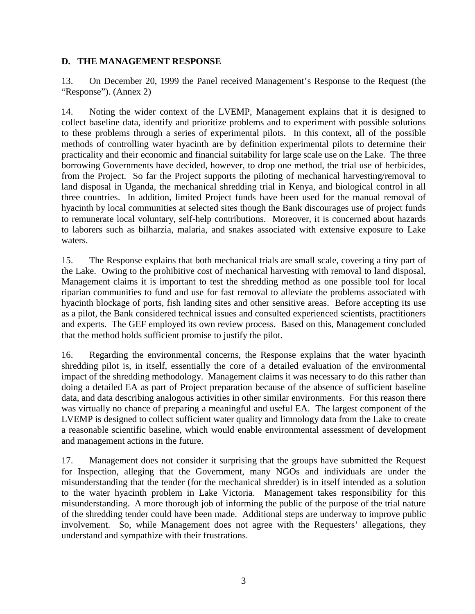# **D. THE MANAGEMENT RESPONSE**

13. On December 20, 1999 the Panel received Management's Response to the Request (the "Response"). (Annex 2)

14. Noting the wider context of the LVEMP, Management explains that it is designed to collect baseline data, identify and prioritize problems and to experiment with possible solutions to these problems through a series of experimental pilots. In this context, all of the possible methods of controlling water hyacinth are by definition experimental pilots to determine their practicality and their economic and financial suitability for large scale use on the Lake. The three borrowing Governments have decided, however, to drop one method, the trial use of herbicides, from the Project. So far the Project supports the piloting of mechanical harvesting/removal to land disposal in Uganda, the mechanical shredding trial in Kenya, and biological control in all three countries. In addition, limited Project funds have been used for the manual removal of hyacinth by local communities at selected sites though the Bank discourages use of project funds to remunerate local voluntary, self-help contributions. Moreover, it is concerned about hazards to laborers such as bilharzia, malaria, and snakes associated with extensive exposure to Lake waters.

15. The Response explains that both mechanical trials are small scale, covering a tiny part of the Lake. Owing to the prohibitive cost of mechanical harvesting with removal to land disposal, Management claims it is important to test the shredding method as one possible tool for local riparian communities to fund and use for fast removal to alleviate the problems associated with hyacinth blockage of ports, fish landing sites and other sensitive areas. Before accepting its use as a pilot, the Bank considered technical issues and consulted experienced scientists, practitioners and experts. The GEF employed its own review process. Based on this, Management concluded that the method holds sufficient promise to justify the pilot.

16. Regarding the environmental concerns, the Response explains that the water hyacinth shredding pilot is, in itself, essentially the core of a detailed evaluation of the environmental impact of the shredding methodology. Management claims it was necessary to do this rather than doing a detailed EA as part of Project preparation because of the absence of sufficient baseline data, and data describing analogous activities in other similar environments. For this reason there was virtually no chance of preparing a meaningful and useful EA. The largest component of the LVEMP is designed to collect sufficient water quality and limnology data from the Lake to create a reasonable scientific baseline, which would enable environmental assessment of development and management actions in the future.

17. Management does not consider it surprising that the groups have submitted the Request for Inspection, alleging that the Government, many NGOs and individuals are under the misunderstanding that the tender (for the mechanical shredder) is in itself intended as a solution to the water hyacinth problem in Lake Victoria. Management takes responsibility for this misunderstanding. A more thorough job of informing the public of the purpose of the trial nature of the shredding tender could have been made. Additional steps are underway to improve public involvement. So, while Management does not agree with the Requesters' allegations, they understand and sympathize with their frustrations.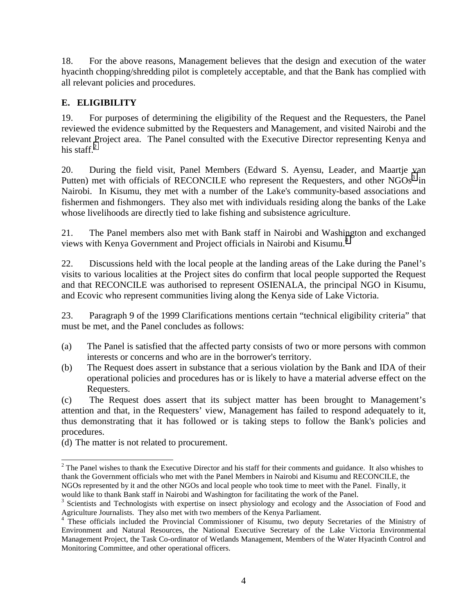18. For the above reasons, Management believes that the design and execution of the water hyacinth chopping/shredding pilot is completely acceptable, and that the Bank has complied with all relevant policies and procedures.

# **E. ELIGIBILITY**

19. For purposes of determining the eligibility of the Request and the Requesters, the Panel reviewed the evidence submitted by the Requesters and Management, and visited Nairobi and the relevant Project area. The Panel consulted with the Executive Director representing Kenya and his staff. $2$ 

20. During the field visit, Panel Members (Edward S. Ayensu, Leader, and Maartje van Putten) met with officials of RECONCILE who represent the Requesters, and other  $NGOs<sup>3</sup>$  in Nairobi. In Kisumu, they met with a number of the Lake's community-based associations and fishermen and fishmongers. They also met with individuals residing along the banks of the Lake whose livelihoods are directly tied to lake fishing and subsistence agriculture.

21. The Panel members also met with Bank staff in Nairobi and Washington and exchanged views with Kenya Government and Project officials in Nairobi and Kisumu.<sup>4</sup>

22. Discussions held with the local people at the landing areas of the Lake during the Panel's visits to various localities at the Project sites do confirm that local people supported the Request and that RECONCILE was authorised to represent OSIENALA, the principal NGO in Kisumu, and Ecovic who represent communities living along the Kenya side of Lake Victoria.

23. Paragraph 9 of the 1999 Clarifications mentions certain "technical eligibility criteria" that must be met, and the Panel concludes as follows:

- (a) The Panel is satisfied that the affected party consists of two or more persons with common interests or concerns and who are in the borrower's territory.
- (b) The Request does assert in substance that a serious violation by the Bank and IDA of their operational policies and procedures has or is likely to have a material adverse effect on the Requesters.

(c) The Request does assert that its subject matter has been brought to Management's attention and that, in the Requesters' view, Management has failed to respond adequately to it, thus demonstrating that it has followed or is taking steps to follow the Bank's policies and procedures.

(d) The matter is not related to procurement.

 $\overline{a}$  $2^2$  The Panel wishes to thank the Executive Director and his staff for their comments and guidance. It also whishes to thank the Government officials who met with the Panel Members in Nairobi and Kisumu and RECONCILE, the NGOs represented by it and the other NGOs and local people who took time to meet with the Panel. Finally, it would like to thank Bank staff in Nairobi and Washington for facilitating the work of the Panel.

<sup>&</sup>lt;sup>3</sup> Scientists and Technologists with expertise on insect physiology and ecology and the Association of Food and Agriculture Journalists. They also met with two members of the Kenya Parliament. 4 These officials included the Provincial Commissioner of Kisumu, two deputy Secretaries of the Ministry of

Environment and Natural Resources, the National Executive Secretary of the Lake Victoria Environmental Management Project, the Task Co-ordinator of Wetlands Management, Members of the Water Hyacinth Control and Monitoring Committee, and other operational officers.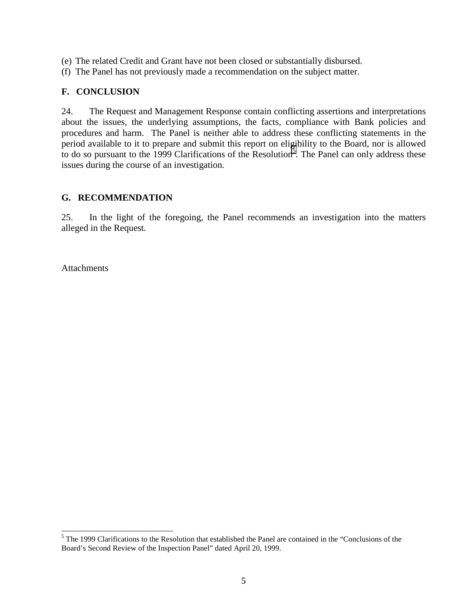- (e) The related Credit and Grant have not been closed or substantially disbursed.
- (f) The Panel has not previously made a recommendation on the subject matter.

# **F. CONCLUSION**

24. The Request and Management Response contain conflicting assertions and interpretations about the issues, the underlying assumptions, the facts, compliance with Bank policies and procedures and harm. The Panel is neither able to address these conflicting statements in the period available to it to prepare and submit this report on eligibility to the Board, nor is allowed to do so pursuant to the 1999 Clarifications of the Resolution<sup>5</sup>. The Panel can only address these issues during the course of an investigation.

#### **G. RECOMMENDATION**

25. In the light of the foregoing, the Panel recommends an investigation into the matters alleged in the Request.

Attachments

 $\overline{a}$ 

<sup>&</sup>lt;sup>5</sup> The 1999 Clarifications to the Resolution that established the Panel are contained in the "Conclusions of the Board's Second Review of the Inspection Panel" dated April 20, 1999.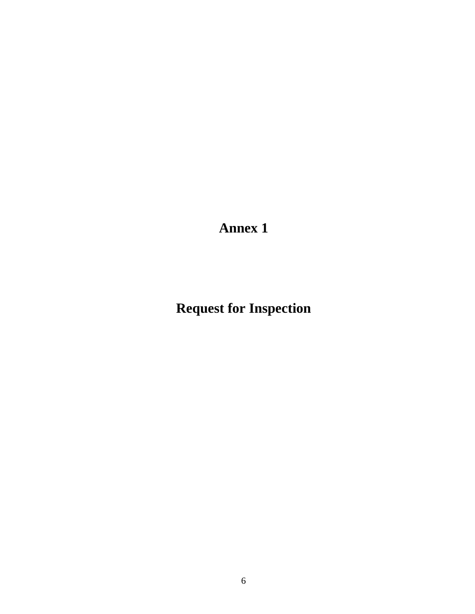**Annex 1**

**Request for Inspection**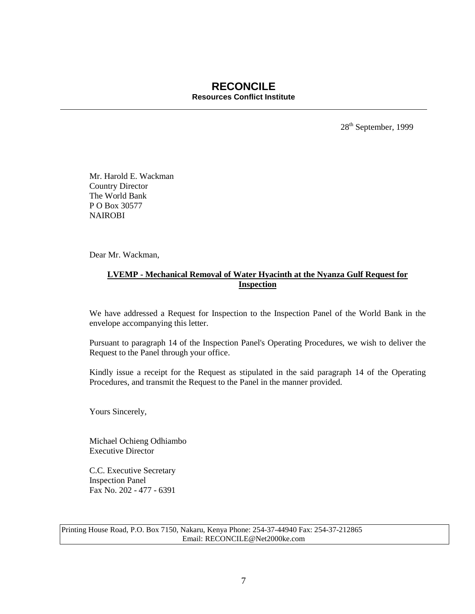#### **RECONCILE Resources Conflict Institute**

28th September, 1999

Mr. Harold E. Wackman Country Director The World Bank P O Box 30577 **NAIROBI** 

Dear Mr. Wackman,

#### **LVEMP - Mechanical Removal of Water Hyacinth at the Nyanza Gulf Request for Inspection**

We have addressed a Request for Inspection to the Inspection Panel of the World Bank in the envelope accompanying this letter.

Pursuant to paragraph 14 of the Inspection Panel's Operating Procedures, we wish to deliver the Request to the Panel through your office.

Kindly issue a receipt for the Request as stipulated in the said paragraph 14 of the Operating Procedures, and transmit the Request to the Panel in the manner provided.

Yours Sincerely,

Michael Ochieng Odhiambo Executive Director

C.C. Executive Secretary Inspection Panel Fax No. 202 - 477 - 6391

Printing House Road, P.O. Box 7150, Nakaru, Kenya Phone: 254-37-44940 Fax: 254-37-212865 Email: RECONCILE@Net2000ke.com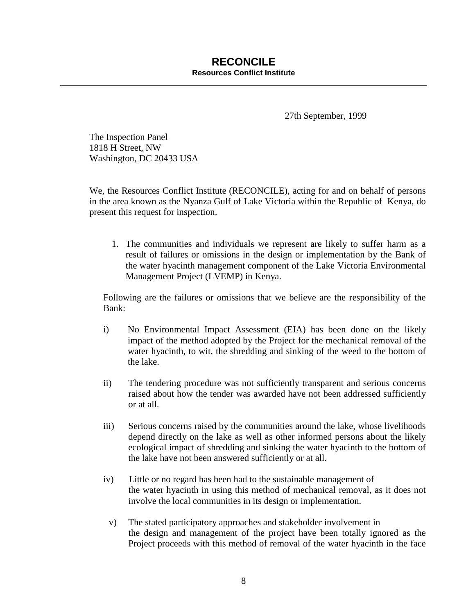27th September, 1999

The Inspection Panel 1818 H Street, NW Washington, DC 20433 USA

We, the Resources Conflict Institute (RECONCILE), acting for and on behalf of persons in the area known as the Nyanza Gulf of Lake Victoria within the Republic of Kenya, do present this request for inspection.

1. The communities and individuals we represent are likely to suffer harm as a result of failures or omissions in the design or implementation by the Bank of the water hyacinth management component of the Lake Victoria Environmental Management Project (LVEMP) in Kenya.

Following are the failures or omissions that we believe are the responsibility of the Bank:

- i) No Environmental Impact Assessment (EIA) has been done on the likely impact of the method adopted by the Project for the mechanical removal of the water hyacinth, to wit, the shredding and sinking of the weed to the bottom of the lake.
- ii) The tendering procedure was not sufficiently transparent and serious concerns raised about how the tender was awarded have not been addressed sufficiently or at all.
- iii) Serious concerns raised by the communities around the lake, whose livelihoods depend directly on the lake as well as other informed persons about the likely ecological impact of shredding and sinking the water hyacinth to the bottom of the lake have not been answered sufficiently or at all.
- iv) Little or no regard has been had to the sustainable management of the water hyacinth in using this method of mechanical removal, as it does not involve the local communities in its design or implementation.
	- v) The stated participatory approaches and stakeholder involvement in the design and management of the project have been totally ignored as the Project proceeds with this method of removal of the water hyacinth in the face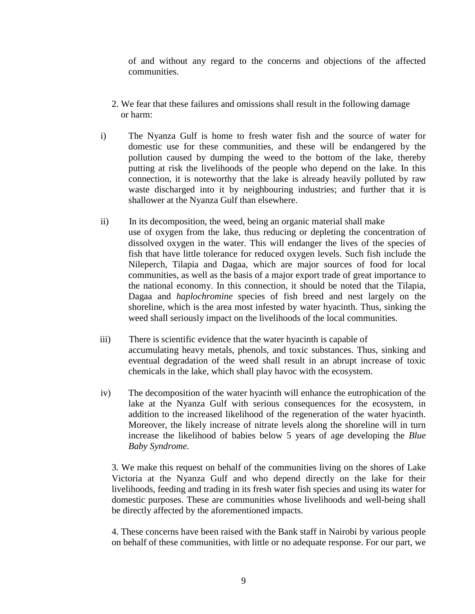of and without any regard to the concerns and objections of the affected communities.

- 2. We fear that these failures and omissions shall result in the following damage or harm:
- i) The Nyanza Gulf is home to fresh water fish and the source of water for domestic use for these communities, and these will be endangered by the pollution caused by dumping the weed to the bottom of the lake, thereby putting at risk the livelihoods of the people who depend on the lake. In this connection, it is noteworthy that the lake is already heavily polluted by raw waste discharged into it by neighbouring industries; and further that it is shallower at the Nyanza Gulf than elsewhere.
- ii) In its decomposition, the weed, being an organic material shall make use of oxygen from the lake, thus reducing or depleting the concentration of dissolved oxygen in the water. This will endanger the lives of the species of fish that have little tolerance for reduced oxygen levels. Such fish include the Nileperch, Tilapia and Dagaa, which are major sources of food for local communities, as well as the basis of a major export trade of great importance to the national economy. In this connection, it should be noted that the Tilapia, Dagaa and *haplochromine* species of fish breed and nest largely on the shoreline, which is the area most infested by water hyacinth. Thus, sinking the weed shall seriously impact on the livelihoods of the local communities.
- iii) There is scientific evidence that the water hyacinth is capable of accumulating heavy metals, phenols, and toxic substances. Thus, sinking and eventual degradation of the weed shall result in an abrupt increase of toxic chemicals in the lake, which shall play havoc with the ecosystem.
- iv) The decomposition of the water hyacinth will enhance the eutrophication of the lake at the Nyanza Gulf with serious consequences for the ecosystem, in addition to the increased likelihood of the regeneration of the water hyacinth. Moreover, the likely increase of nitrate levels along the shoreline will in turn increase the likelihood of babies below 5 years of age developing the *Blue Baby Syndrome.*

3. We make this request on behalf of the communities living on the shores of Lake Victoria at the Nyanza Gulf and who depend directly on the lake for their livelihoods, feeding and trading in its fresh water fish species and using its water for domestic purposes. These are communities whose livelihoods and well-being shall be directly affected by the aforementioned impacts.

4. These concerns have been raised with the Bank staff in Nairobi by various people on behalf of these communities, with little or no adequate response. For our part, we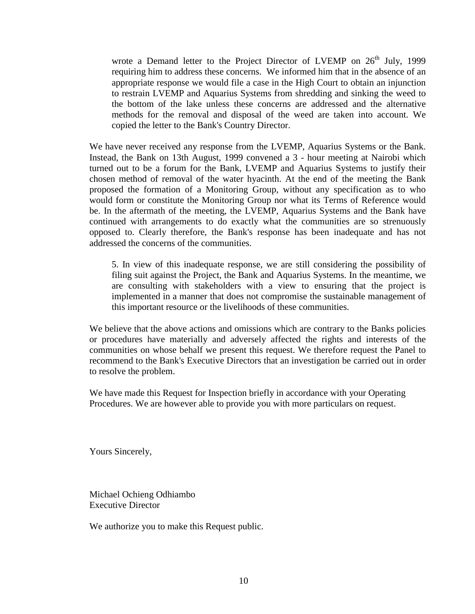wrote a Demand letter to the Project Director of LVEMP on  $26<sup>th</sup>$  July, 1999 requiring him to address these concerns. We informed him that in the absence of an appropriate response we would file a case in the High Court to obtain an injunction to restrain LVEMP and Aquarius Systems from shredding and sinking the weed to the bottom of the lake unless these concerns are addressed and the alternative methods for the removal and disposal of the weed are taken into account. We copied the letter to the Bank's Country Director.

We have never received any response from the LVEMP, Aquarius Systems or the Bank. Instead, the Bank on 13th August, 1999 convened a 3 - hour meeting at Nairobi which turned out to be a forum for the Bank, LVEMP and Aquarius Systems to justify their chosen method of removal of the water hyacinth. At the end of the meeting the Bank proposed the formation of a Monitoring Group, without any specification as to who would form or constitute the Monitoring Group nor what its Terms of Reference would be. In the aftermath of the meeting, the LVEMP, Aquarius Systems and the Bank have continued with arrangements to do exactly what the communities are so strenuously opposed to. Clearly therefore, the Bank's response has been inadequate and has not addressed the concerns of the communities.

5. In view of this inadequate response, we are still considering the possibility of filing suit against the Project, the Bank and Aquarius Systems. In the meantime, we are consulting with stakeholders with a view to ensuring that the project is implemented in a manner that does not compromise the sustainable management of this important resource or the livelihoods of these communities.

We believe that the above actions and omissions which are contrary to the Banks policies or procedures have materially and adversely affected the rights and interests of the communities on whose behalf we present this request. We therefore request the Panel to recommend to the Bank's Executive Directors that an investigation be carried out in order to resolve the problem.

We have made this Request for Inspection briefly in accordance with your Operating Procedures. We are however able to provide you with more particulars on request.

Yours Sincerely,

Michael Ochieng Odhiambo Executive Director

We authorize you to make this Request public.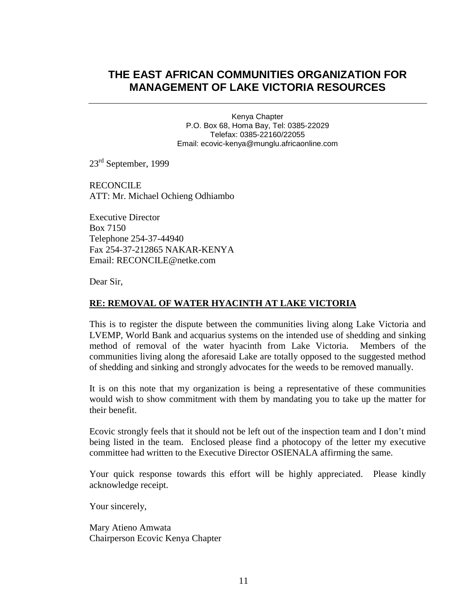# **THE EAST AFRICAN COMMUNITIES ORGANIZATION FOR MANAGEMENT OF LAKE VICTORIA RESOURCES**

Kenya Chapter P.O. Box 68, Homa Bay, Tel: 0385-22029 Telefax: 0385-22160/22055 Email: ecovic-kenya@munglu.africaonline.com

23<sup>rd</sup> September, 1999

RECONCILE ATT: Mr. Michael Ochieng Odhiambo

Executive Director Box 7150 Telephone 254-37-44940 Fax 254-37-212865 NAKAR-KENYA Email: RECONCILE@netke.com

Dear Sir,

#### **RE: REMOVAL OF WATER HYACINTH AT LAKE VICTORIA**

This is to register the dispute between the communities living along Lake Victoria and LVEMP, World Bank and acquarius systems on the intended use of shedding and sinking method of removal of the water hyacinth from Lake Victoria. Members of the communities living along the aforesaid Lake are totally opposed to the suggested method of shedding and sinking and strongly advocates for the weeds to be removed manually.

It is on this note that my organization is being a representative of these communities would wish to show commitment with them by mandating you to take up the matter for their benefit.

Ecovic strongly feels that it should not be left out of the inspection team and I don't mind being listed in the team. Enclosed please find a photocopy of the letter my executive committee had written to the Executive Director OSIENALA affirming the same.

Your quick response towards this effort will be highly appreciated. Please kindly acknowledge receipt.

Your sincerely,

Mary Atieno Amwata Chairperson Ecovic Kenya Chapter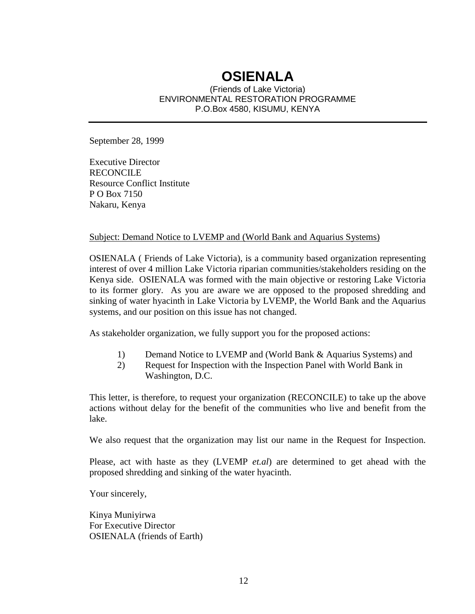# **OSIENALA**

(Friends of Lake Victoria) ENVIRONMENTAL RESTORATION PROGRAMME P.O.Box 4580, KISUMU, KENYA

September 28, 1999

Executive Director RECONCILE Resource Conflict Institute P O Box 7150 Nakaru, Kenya

#### Subject: Demand Notice to LVEMP and (World Bank and Aquarius Systems)

OSIENALA ( Friends of Lake Victoria), is a community based organization representing interest of over 4 million Lake Victoria riparian communities/stakeholders residing on the Kenya side. OSIENALA was formed with the main objective or restoring Lake Victoria to its former glory. As you are aware we are opposed to the proposed shredding and sinking of water hyacinth in Lake Victoria by LVEMP, the World Bank and the Aquarius systems, and our position on this issue has not changed.

As stakeholder organization, we fully support you for the proposed actions:

- 1) Demand Notice to LVEMP and (World Bank & Aquarius Systems) and
- 2) Request for Inspection with the Inspection Panel with World Bank in Washington, D.C.

This letter, is therefore, to request your organization (RECONCILE) to take up the above actions without delay for the benefit of the communities who live and benefit from the lake.

We also request that the organization may list our name in the Request for Inspection.

Please, act with haste as they (LVEMP *et.al*) are determined to get ahead with the proposed shredding and sinking of the water hyacinth.

Your sincerely,

Kinya Muniyirwa For Executive Director OSIENALA (friends of Earth)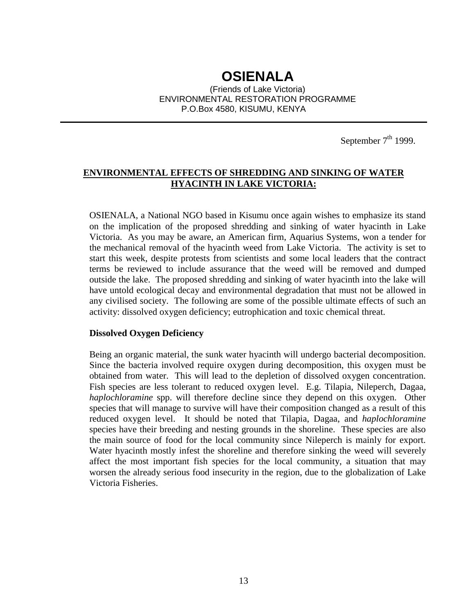# **OSIENALA**

(Friends of Lake Victoria) ENVIRONMENTAL RESTORATION PROGRAMME P.O.Box 4580, KISUMU, KENYA

September  $7<sup>th</sup>$  1999.

# **ENVIRONMENTAL EFFECTS OF SHREDDING AND SINKING OF WATER HYACINTH IN LAKE VICTORIA:**

OSIENALA, a National NGO based in Kisumu once again wishes to emphasize its stand on the implication of the proposed shredding and sinking of water hyacinth in Lake Victoria. As you may be aware, an American firm, Aquarius Systems, won a tender for the mechanical removal of the hyacinth weed from Lake Victoria. The activity is set to start this week, despite protests from scientists and some local leaders that the contract terms be reviewed to include assurance that the weed will be removed and dumped outside the lake. The proposed shredding and sinking of water hyacinth into the lake will have untold ecological decay and environmental degradation that must not be allowed in any civilised society. The following are some of the possible ultimate effects of such an activity: dissolved oxygen deficiency; eutrophication and toxic chemical threat.

#### **Dissolved Oxygen Deficiency**

Being an organic material, the sunk water hyacinth will undergo bacterial decomposition. Since the bacteria involved require oxygen during decomposition, this oxygen must be obtained from water. This will lead to the depletion of dissolved oxygen concentration. Fish species are less tolerant to reduced oxygen level. E.g. Tilapia, Nileperch, Dagaa, *haplochloramine* spp. will therefore decline since they depend on this oxygen. Other species that will manage to survive will have their composition changed as a result of this reduced oxygen level. It should be noted that Tilapia, Dagaa, and *haplochloramine* species have their breeding and nesting grounds in the shoreline. These species are also the main source of food for the local community since Nileperch is mainly for export. Water hyacinth mostly infest the shoreline and therefore sinking the weed will severely affect the most important fish species for the local community, a situation that may worsen the already serious food insecurity in the region, due to the globalization of Lake Victoria Fisheries.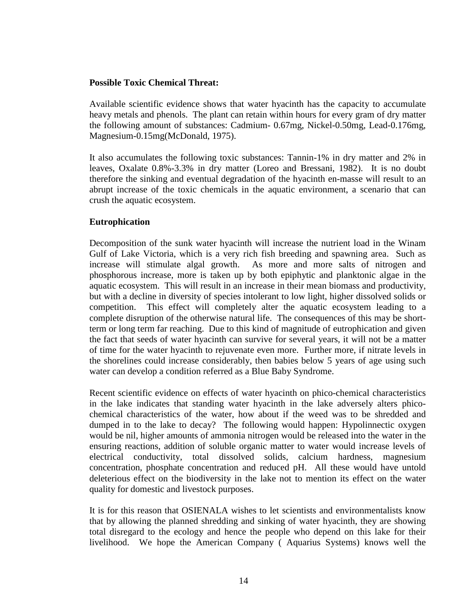#### **Possible Toxic Chemical Threat:**

Available scientific evidence shows that water hyacinth has the capacity to accumulate heavy metals and phenols. The plant can retain within hours for every gram of dry matter the following amount of substances: Cadmium- 0.67mg, Nickel-0.50mg, Lead-0.176mg, Magnesium-0.15mg(McDonald, 1975).

It also accumulates the following toxic substances: Tannin-1% in dry matter and 2% in leaves, Oxalate 0.8%-3.3% in dry matter (Loreo and Bressani, 1982). It is no doubt therefore the sinking and eventual degradation of the hyacinth en-masse will result to an abrupt increase of the toxic chemicals in the aquatic environment, a scenario that can crush the aquatic ecosystem.

## **Eutrophication**

Decomposition of the sunk water hyacinth will increase the nutrient load in the Winam Gulf of Lake Victoria, which is a very rich fish breeding and spawning area. Such as increase will stimulate algal growth. As more and more salts of nitrogen and phosphorous increase, more is taken up by both epiphytic and planktonic algae in the aquatic ecosystem. This will result in an increase in their mean biomass and productivity, but with a decline in diversity of species intolerant to low light, higher dissolved solids or competition. This effect will completely alter the aquatic ecosystem leading to a complete disruption of the otherwise natural life. The consequences of this may be shortterm or long term far reaching. Due to this kind of magnitude of eutrophication and given the fact that seeds of water hyacinth can survive for several years, it will not be a matter of time for the water hyacinth to rejuvenate even more. Further more, if nitrate levels in the shorelines could increase considerably, then babies below 5 years of age using such water can develop a condition referred as a Blue Baby Syndrome.

Recent scientific evidence on effects of water hyacinth on phico-chemical characteristics in the lake indicates that standing water hyacinth in the lake adversely alters phicochemical characteristics of the water, how about if the weed was to be shredded and dumped in to the lake to decay? The following would happen: Hypolinnectic oxygen would be nil, higher amounts of ammonia nitrogen would be released into the water in the ensuring reactions, addition of soluble organic matter to water would increase levels of electrical conductivity, total dissolved solids, calcium hardness, magnesium concentration, phosphate concentration and reduced pH. All these would have untold deleterious effect on the biodiversity in the lake not to mention its effect on the water quality for domestic and livestock purposes.

It is for this reason that OSIENALA wishes to let scientists and environmentalists know that by allowing the planned shredding and sinking of water hyacinth, they are showing total disregard to the ecology and hence the people who depend on this lake for their livelihood. We hope the American Company ( Aquarius Systems) knows well the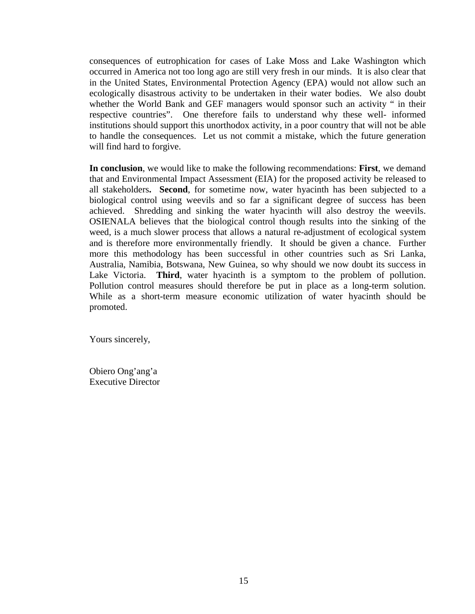consequences of eutrophication for cases of Lake Moss and Lake Washington which occurred in America not too long ago are still very fresh in our minds. It is also clear that in the United States, Environmental Protection Agency (EPA) would not allow such an ecologically disastrous activity to be undertaken in their water bodies. We also doubt whether the World Bank and GEF managers would sponsor such an activity " in their respective countries". One therefore fails to understand why these well- informed institutions should support this unorthodox activity, in a poor country that will not be able to handle the consequences. Let us not commit a mistake, which the future generation will find hard to forgive.

**In conclusion**, we would like to make the following recommendations: **First**, we demand that and Environmental Impact Assessment (EIA) for the proposed activity be released to all stakeholders**. Second**, for sometime now, water hyacinth has been subjected to a biological control using weevils and so far a significant degree of success has been achieved. Shredding and sinking the water hyacinth will also destroy the weevils. OSIENALA believes that the biological control though results into the sinking of the weed, is a much slower process that allows a natural re-adjustment of ecological system and is therefore more environmentally friendly. It should be given a chance. Further more this methodology has been successful in other countries such as Sri Lanka, Australia, Namibia, Botswana, New Guinea, so why should we now doubt its success in Lake Victoria. **Third**, water hyacinth is a symptom to the problem of pollution. Pollution control measures should therefore be put in place as a long-term solution. While as a short-term measure economic utilization of water hyacinth should be promoted.

Yours sincerely,

Obiero Ong'ang'a Executive Director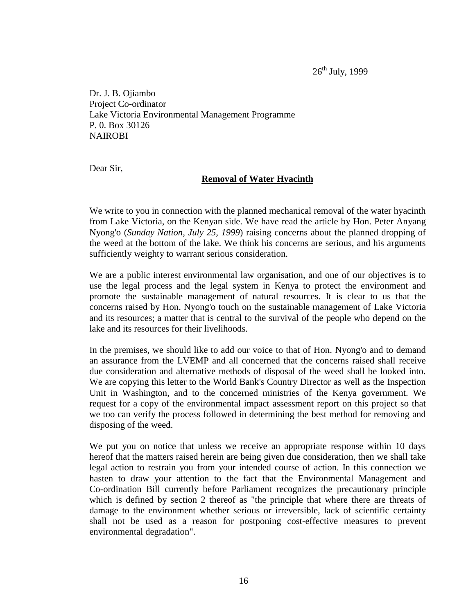$26^{\text{th}}$  July, 1999

Dr. J. B. Ojiambo Project Co-ordinator Lake Victoria Environmental Management Programme P. 0. Box 30126 **NAIROBI** 

Dear Sir,

#### **Removal of Water Hyacinth**

We write to you in connection with the planned mechanical removal of the water hyacinth from Lake Victoria, on the Kenyan side. We have read the article by Hon. Peter Anyang Nyong'o (*Sunday Nation, July 25, 1999*) raising concerns about the planned dropping of the weed at the bottom of the lake. We think his concerns are serious, and his arguments sufficiently weighty to warrant serious consideration.

We are a public interest environmental law organisation, and one of our objectives is to use the legal process and the legal system in Kenya to protect the environment and promote the sustainable management of natural resources. It is clear to us that the concerns raised by Hon. Nyong'o touch on the sustainable management of Lake Victoria and its resources; a matter that is central to the survival of the people who depend on the lake and its resources for their livelihoods.

In the premises, we should like to add our voice to that of Hon. Nyong'o and to demand an assurance from the LVEMP and all concerned that the concerns raised shall receive due consideration and alternative methods of disposal of the weed shall be looked into. We are copying this letter to the World Bank's Country Director as well as the Inspection Unit in Washington, and to the concerned ministries of the Kenya government. We request for a copy of the environmental impact assessment report on this project so that we too can verify the process followed in determining the best method for removing and disposing of the weed.

We put you on notice that unless we receive an appropriate response within 10 days hereof that the matters raised herein are being given due consideration, then we shall take legal action to restrain you from your intended course of action. In this connection we hasten to draw your attention to the fact that the Environmental Management and Co-ordination Bill currently before Parliament recognizes the precautionary principle which is defined by section 2 thereof as "the principle that where there are threats of damage to the environment whether serious or irreversible, lack of scientific certainty shall not be used as a reason for postponing cost-effective measures to prevent environmental degradation".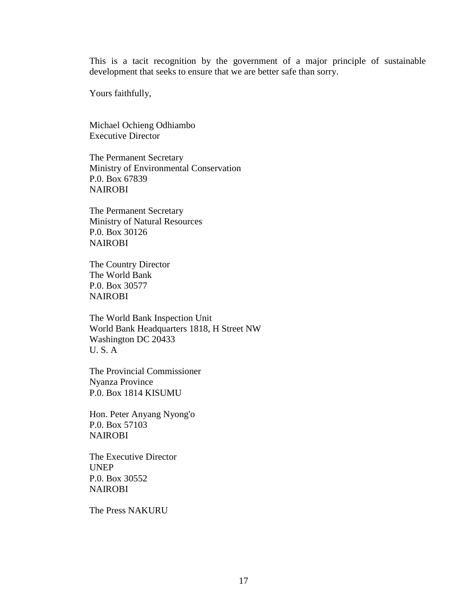This is a tacit recognition by the government of a major principle of sustainable development that seeks to ensure that we are better safe than sorry.

Yours faithfully,

Michael Ochieng Odhiambo Executive Director

The Permanent Secretary Ministry of Environmental Conservation P.0. Box 67839 NAIROBI

The Permanent Secretary Ministry of Natural Resources P.0. Box 30126 NAIROBI

The Country Director The World Bank P.0. Box 30577 NAIROBI

The World Bank Inspection Unit World Bank Headquarters 1818, H Street NW Washington DC 20433 U. S. A

The Provincial Commissioner Nyanza Province P.0. Box 1814 KISUMU

Hon. Peter Anyang Nyong'o P.0. Box 57103 NAIROBI

The Executive Director UNEP P.0. Box 30552 NAIROBI

The Press NAKURU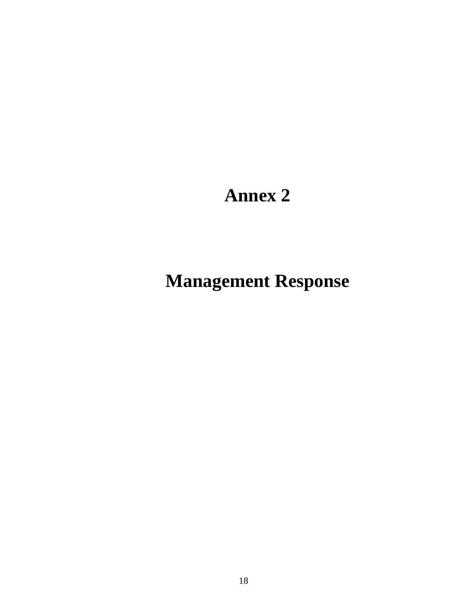# **Annex 2**

# **Management Response**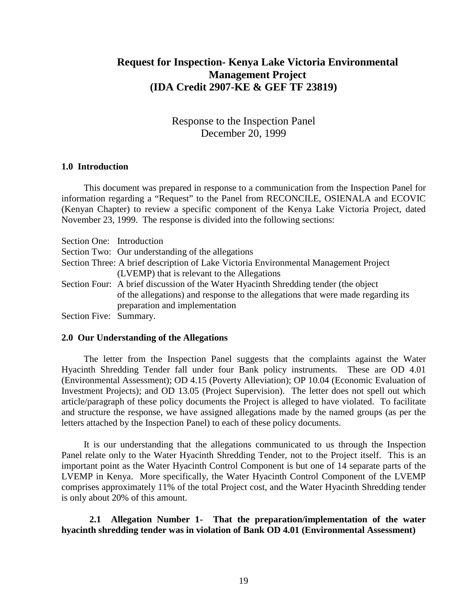# **Request for Inspection- Kenya Lake Victoria Environmental Management Project (IDA Credit 2907-KE & GEF TF 23819)**

Response to the Inspection Panel December 20, 1999

#### **1.0 Introduction**

This document was prepared in response to a communication from the Inspection Panel for information regarding a "Request" to the Panel from RECONCILE, OSIENALA and ECOVIC (Kenyan Chapter) to review a specific component of the Kenya Lake Victoria Project, dated November 23, 1999. The response is divided into the following sections:

| Section One: Introduction |                                                                                      |
|---------------------------|--------------------------------------------------------------------------------------|
|                           | Section Two: Our understanding of the allegations                                    |
|                           | Section Three: A brief description of Lake Victoria Environmental Management Project |
|                           | (LVEMP) that is relevant to the Allegations                                          |
|                           | Section Four: A brief discussion of the Water Hyacinth Shredding tender (the object  |
|                           | of the allegations) and response to the allegations that were made regarding its     |
|                           | preparation and implementation                                                       |
| Section Five: Summary.    |                                                                                      |

#### **2.0 Our Understanding of the Allegations**

The letter from the Inspection Panel suggests that the complaints against the Water Hyacinth Shredding Tender fall under four Bank policy instruments. These are OD 4.01 (Environmental Assessment); OD 4.15 (Poverty Alleviation); OP 10.04 (Economic Evaluation of Investment Projects); and OD 13.05 (Project Supervision). The letter does not spell out which article/paragraph of these policy documents the Project is alleged to have violated. To facilitate and structure the response, we have assigned allegations made by the named groups (as per the letters attached by the Inspection Panel) to each of these policy documents.

It is our understanding that the allegations communicated to us through the Inspection Panel relate only to the Water Hyacinth Shredding Tender, not to the Project itself. This is an important point as the Water Hyacinth Control Component is but one of 14 separate parts of the LVEMP in Kenya. More specifically, the Water Hyacinth Control Component of the LVEMP comprises approximately 11% of the total Project cost, and the Water Hyacinth Shredding tender is only about 20% of this amount.

#### **2.1 Allegation Number 1- That the preparation/implementation of the water hyacinth shredding tender was in violation of Bank OD 4.01 (Environmental Assessment)**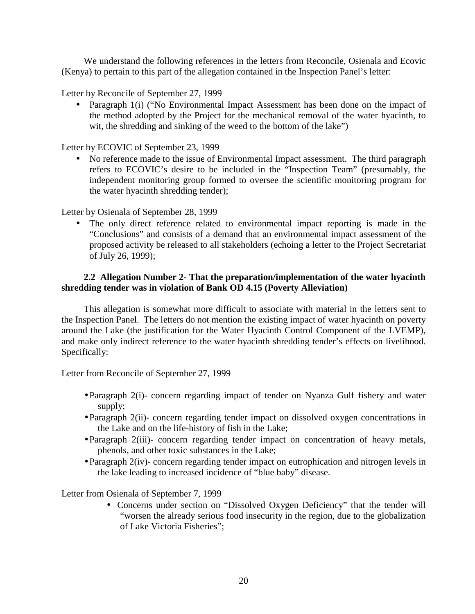We understand the following references in the letters from Reconcile, Osienala and Ecovic (Kenya) to pertain to this part of the allegation contained in the Inspection Panel's letter:

Letter by Reconcile of September 27, 1999

• Paragraph 1(i) ("No Environmental Impact Assessment has been done on the impact of the method adopted by the Project for the mechanical removal of the water hyacinth, to wit, the shredding and sinking of the weed to the bottom of the lake")

Letter by ECOVIC of September 23, 1999

• No reference made to the issue of Environmental Impact assessment. The third paragraph refers to ECOVIC's desire to be included in the "Inspection Team" (presumably, the independent monitoring group formed to oversee the scientific monitoring program for the water hyacinth shredding tender);

Letter by Osienala of September 28, 1999

The only direct reference related to environmental impact reporting is made in the "Conclusions" and consists of a demand that an environmental impact assessment of the proposed activity be released to all stakeholders (echoing a letter to the Project Secretariat of July 26, 1999);

# **2.2 Allegation Number 2- That the preparation/implementation of the water hyacinth shredding tender was in violation of Bank OD 4.15 (Poverty Alleviation)**

This allegation is somewhat more difficult to associate with material in the letters sent to the Inspection Panel. The letters do not mention the existing impact of water hyacinth on poverty around the Lake (the justification for the Water Hyacinth Control Component of the LVEMP), and make only indirect reference to the water hyacinth shredding tender's effects on livelihood. Specifically:

Letter from Reconcile of September 27, 1999

- Paragraph 2(i)- concern regarding impact of tender on Nyanza Gulf fishery and water supply;
- Paragraph 2(ii)- concern regarding tender impact on dissolved oxygen concentrations in the Lake and on the life-history of fish in the Lake;
- Paragraph 2(iii)- concern regarding tender impact on concentration of heavy metals, phenols, and other toxic substances in the Lake;
- Paragraph 2(iv)- concern regarding tender impact on eutrophication and nitrogen levels in the lake leading to increased incidence of "blue baby" disease.

Letter from Osienala of September 7, 1999

• Concerns under section on "Dissolved Oxygen Deficiency" that the tender will "worsen the already serious food insecurity in the region, due to the globalization of Lake Victoria Fisheries";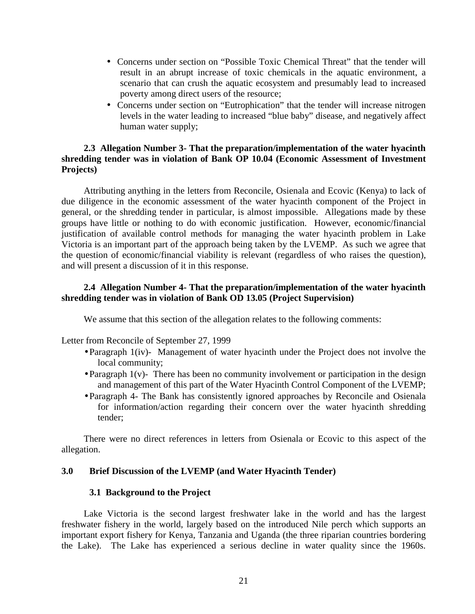- Concerns under section on "Possible Toxic Chemical Threat" that the tender will result in an abrupt increase of toxic chemicals in the aquatic environment, a scenario that can crush the aquatic ecosystem and presumably lead to increased poverty among direct users of the resource;
- Concerns under section on "Eutrophication" that the tender will increase nitrogen levels in the water leading to increased "blue baby" disease, and negatively affect human water supply;

## **2.3 Allegation Number 3- That the preparation/implementation of the water hyacinth shredding tender was in violation of Bank OP 10.04 (Economic Assessment of Investment Projects)**

Attributing anything in the letters from Reconcile, Osienala and Ecovic (Kenya) to lack of due diligence in the economic assessment of the water hyacinth component of the Project in general, or the shredding tender in particular, is almost impossible. Allegations made by these groups have little or nothing to do with economic justification. However, economic/financial justification of available control methods for managing the water hyacinth problem in Lake Victoria is an important part of the approach being taken by the LVEMP. As such we agree that the question of economic/financial viability is relevant (regardless of who raises the question), and will present a discussion of it in this response.

# **2.4 Allegation Number 4- That the preparation/implementation of the water hyacinth shredding tender was in violation of Bank OD 13.05 (Project Supervision)**

We assume that this section of the allegation relates to the following comments:

Letter from Reconcile of September 27, 1999

- Paragraph 1(iv)- Management of water hyacinth under the Project does not involve the local community;
- Paragraph  $1(v)$  There has been no community involvement or participation in the design and management of this part of the Water Hyacinth Control Component of the LVEMP;
- Paragraph 4- The Bank has consistently ignored approaches by Reconcile and Osienala for information/action regarding their concern over the water hyacinth shredding tender;

There were no direct references in letters from Osienala or Ecovic to this aspect of the allegation.

#### **3.0 Brief Discussion of the LVEMP (and Water Hyacinth Tender)**

#### **3.1 Background to the Project**

Lake Victoria is the second largest freshwater lake in the world and has the largest freshwater fishery in the world, largely based on the introduced Nile perch which supports an important export fishery for Kenya, Tanzania and Uganda (the three riparian countries bordering the Lake). The Lake has experienced a serious decline in water quality since the 1960s.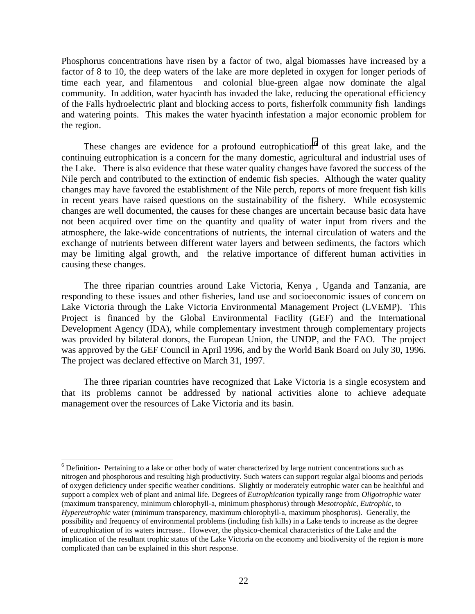Phosphorus concentrations have risen by a factor of two, algal biomasses have increased by a factor of 8 to 10, the deep waters of the lake are more depleted in oxygen for longer periods of time each year, and filamentous and colonial blue-green algae now dominate the algal community. In addition, water hyacinth has invaded the lake, reducing the operational efficiency of the Falls hydroelectric plant and blocking access to ports, fisherfolk community fish landings and watering points. This makes the water hyacinth infestation a major economic problem for the region.

These changes are evidence for a profound eutrophication  $6$  of this great lake, and the continuing eutrophication is a concern for the many domestic, agricultural and industrial uses of the Lake. There is also evidence that these water quality changes have favored the success of the Nile perch and contributed to the extinction of endemic fish species. Although the water quality changes may have favored the establishment of the Nile perch, reports of more frequent fish kills in recent years have raised questions on the sustainability of the fishery. While ecosystemic changes are well documented, the causes for these changes are uncertain because basic data have not been acquired over time on the quantity and quality of water input from rivers and the atmosphere, the lake-wide concentrations of nutrients, the internal circulation of waters and the exchange of nutrients between different water layers and between sediments, the factors which may be limiting algal growth, and the relative importance of different human activities in causing these changes.

The three riparian countries around Lake Victoria, Kenya , Uganda and Tanzania, are responding to these issues and other fisheries, land use and socioeconomic issues of concern on Lake Victoria through the Lake Victoria Environmental Management Project (LVEMP). This Project is financed by the Global Environmental Facility (GEF) and the International Development Agency (IDA), while complementary investment through complementary projects was provided by bilateral donors, the European Union, the UNDP, and the FAO. The project was approved by the GEF Council in April 1996, and by the World Bank Board on July 30, 1996. The project was declared effective on March 31, 1997.

The three riparian countries have recognized that Lake Victoria is a single ecosystem and that its problems cannot be addressed by national activities alone to achieve adequate management over the resources of Lake Victoria and its basin.

 $\overline{a}$ 

<sup>&</sup>lt;sup>6</sup> Definition- Pertaining to a lake or other body of water characterized by large nutrient concentrations such as nitrogen and phosphorous and resulting high productivity. Such waters can support regular algal blooms and periods of oxygen deficiency under specific weather conditions. Slightly or moderately eutrophic water can be healthful and support a complex web of plant and animal life. Degrees of *Eutrophication* typically range from *Oligotrophic* water (maximum transparency, minimum chlorophyll-a, minimum phosphorus) through *Mesotrophic*, *Eutrophic*, to *Hypereutrophic* water (minimum transparency, maximum chlorophyll-a, maximum phosphorus). Generally, the possibility and frequency of environmental problems (including fish kills) in a Lake tends to increase as the degree of eutrophication of its waters increase.. However, the physico-chemical characteristics of the Lake and the implication of the resultant trophic status of the Lake Victoria on the economy and biodiversity of the region is more complicated than can be explained in this short response.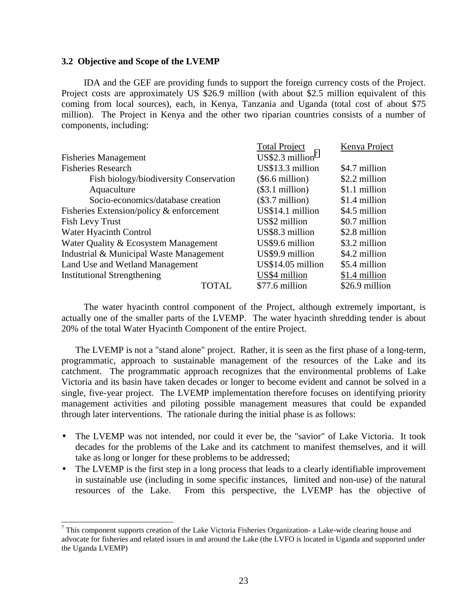#### **3.2 Objective and Scope of the LVEMP**

IDA and the GEF are providing funds to support the foreign currency costs of the Project. Project costs are approximately US \$26.9 million (with about \$2.5 million equivalent of this coming from local sources), each, in Kenya, Tanzania and Uganda (total cost of about \$75 million). The Project in Kenya and the other two riparian countries consists of a number of components, including:

|                                             | <b>Total Project</b>         | Kenya Project  |
|---------------------------------------------|------------------------------|----------------|
| <b>Fisheries Management</b>                 | US\$2.3 million <sup>7</sup> |                |
| <b>Fisheries Research</b>                   | US\$13.3 million             | \$4.7 million  |
| Fish biology/biodiversity Conservation      | $(\$6.6$ million)            | \$2.2 million  |
| Aquaculture                                 | (\$3.1 million)              | \$1.1 million  |
| Socio-economics/database creation           | $(\$3.7$ million)            | \$1.4 million  |
| Fisheries Extension/policy $\&$ enforcement | US\$14.1 million             | \$4.5 million  |
| Fish Levy Trust                             | US\$2 million                | \$0.7 million  |
| Water Hyacinth Control                      | US\$8.3 million              | \$2.8 million  |
| Water Quality & Ecosystem Management        | US\$9.6 million              | \$3.2 million  |
| Industrial & Municipal Waste Management     | US\$9.9 million              | \$4.2 million  |
| Land Use and Wetland Management             | US\$14.05 million            | \$5.4 million  |
| <b>Institutional Strengthening</b>          | US\$4 million                | \$1.4 million  |
| <b>TOTAL</b>                                | \$77.6 million               | \$26.9 million |

The water hyacinth control component of the Project, although extremely important, is actually one of the smaller parts of the LVEMP. The water hyacinth shredding tender is about 20% of the total Water Hyacinth Component of the entire Project.

The LVEMP is not a "stand alone" project. Rather, it is seen as the first phase of a long-term, programmatic, approach to sustainable management of the resources of the Lake and its catchment. The programmatic approach recognizes that the environmental problems of Lake Victoria and its basin have taken decades or longer to become evident and cannot be solved in a single, five-year project. The LVEMP implementation therefore focuses on identifying priority management activities and piloting possible management measures that could be expanded through later interventions. The rationale during the initial phase is as follows:

- The LVEMP was not intended, nor could it ever be, the "savior" of Lake Victoria. It took decades for the problems of the Lake and its catchment to manifest themselves, and it will take as long or longer for these problems to be addressed;
- The LVEMP is the first step in a long process that leads to a clearly identifiable improvement in sustainable use (including in some specific instances, limited and non-use) of the natural resources of the Lake. From this perspective, the LVEMP has the objective of

<sup>&</sup>lt;sup>7</sup> This component supports creation of the Lake Victoria Fisheries Organization- a Lake-wide clearing house and advocate for fisheries and related issues in and around the Lake (the LVFO is located in Uganda and supported under the Uganda LVEMP)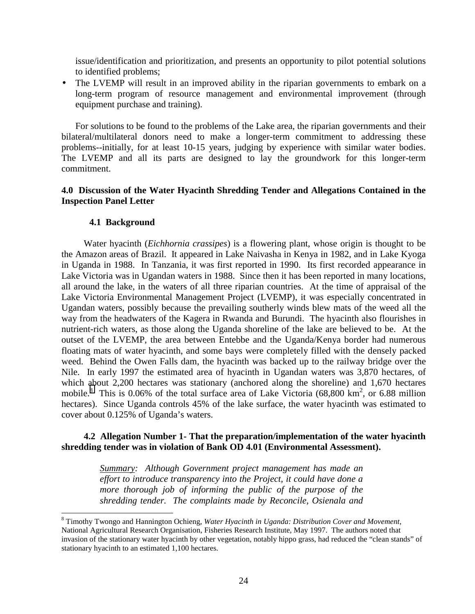issue/identification and prioritization, and presents an opportunity to pilot potential solutions to identified problems;

• The LVEMP will result in an improved ability in the riparian governments to embark on a long-term program of resource management and environmental improvement (through equipment purchase and training).

For solutions to be found to the problems of the Lake area, the riparian governments and their bilateral/multilateral donors need to make a longer-term commitment to addressing these problems--initially, for at least 10-15 years, judging by experience with similar water bodies. The LVEMP and all its parts are designed to lay the groundwork for this longer-term commitment.

#### **4.0 Discussion of the Water Hyacinth Shredding Tender and Allegations Contained in the Inspection Panel Letter**

#### **4.1 Background**

Water hyacinth (*Eichhornia crassipes*) is a flowering plant, whose origin is thought to be the Amazon areas of Brazil. It appeared in Lake Naivasha in Kenya in 1982, and in Lake Kyoga in Uganda in 1988. In Tanzania, it was first reported in 1990. Its first recorded appearance in Lake Victoria was in Ugandan waters in 1988. Since then it has been reported in many locations, all around the lake, in the waters of all three riparian countries. At the time of appraisal of the Lake Victoria Environmental Management Project (LVEMP), it was especially concentrated in Ugandan waters, possibly because the prevailing southerly winds blew mats of the weed all the way from the headwaters of the Kagera in Rwanda and Burundi. The hyacinth also flourishes in nutrient-rich waters, as those along the Uganda shoreline of the lake are believed to be. At the outset of the LVEMP, the area between Entebbe and the Uganda/Kenya border had numerous floating mats of water hyacinth, and some bays were completely filled with the densely packed weed. Behind the Owen Falls dam, the hyacinth was backed up to the railway bridge over the Nile. In early 1997 the estimated area of hyacinth in Ugandan waters was 3,870 hectares, of which about 2,200 hectares was stationary (anchored along the shoreline) and 1,670 hectares mobile.<sup>8</sup> This is 0.06% of the total surface area of Lake Victoria (68,800 km<sup>2</sup>, or 6.88 million hectares). Since Uganda controls 45% of the lake surface, the water hyacinth was estimated to cover about 0.125% of Uganda's waters.

## **4.2 Allegation Number 1- That the preparation/implementation of the water hyacinth shredding tender was in violation of Bank OD 4.01 (Environmental Assessment).**

*Summary: Although Government project management has made an effort to introduce transparency into the Project, it could have done a more thorough job of informing the public of the purpose of the shredding tender. The complaints made by Reconcile, Osienala and*

 8 Timothy Twongo and Hannington Ochieng, *Water Hyacinth in Uganda: Distribution Cover and Movement*, National Agricultural Research Organisation, Fisheries Research Institute, May 1997. The authors noted that invasion of the stationary water hyacinth by other vegetation, notably hippo grass, had reduced the "clean stands" of stationary hyacinth to an estimated 1,100 hectares.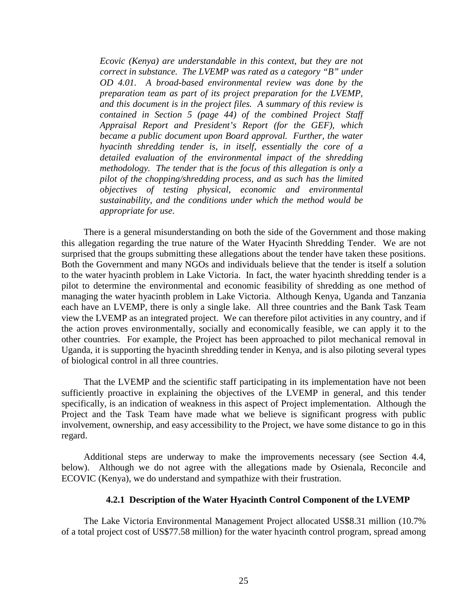*Ecovic (Kenya) are understandable in this context, but they are not correct in substance. The LVEMP was rated as a category "B" under OD 4.01. A broad-based environmental review was done by the preparation team as part of its project preparation for the LVEMP, and this document is in the project files. A summary of this review is contained in Section 5 (page 44) of the combined Project Staff Appraisal Report and President's Report (for the GEF), which became a public document upon Board approval. Further, the water hyacinth shredding tender is, in itself, essentially the core of a detailed evaluation of the environmental impact of the shredding methodology. The tender that is the focus of this allegation is only a pilot of the chopping/shredding process, and as such has the limited objectives of testing physical, economic and environmental sustainability, and the conditions under which the method would be appropriate for use*.

There is a general misunderstanding on both the side of the Government and those making this allegation regarding the true nature of the Water Hyacinth Shredding Tender. We are not surprised that the groups submitting these allegations about the tender have taken these positions. Both the Government and many NGOs and individuals believe that the tender is itself a solution to the water hyacinth problem in Lake Victoria. In fact, the water hyacinth shredding tender is a pilot to determine the environmental and economic feasibility of shredding as one method of managing the water hyacinth problem in Lake Victoria. Although Kenya, Uganda and Tanzania each have an LVEMP, there is only a single lake. All three countries and the Bank Task Team view the LVEMP as an integrated project. We can therefore pilot activities in any country, and if the action proves environmentally, socially and economically feasible, we can apply it to the other countries. For example, the Project has been approached to pilot mechanical removal in Uganda, it is supporting the hyacinth shredding tender in Kenya, and is also piloting several types of biological control in all three countries.

That the LVEMP and the scientific staff participating in its implementation have not been sufficiently proactive in explaining the objectives of the LVEMP in general, and this tender specifically, is an indication of weakness in this aspect of Project implementation. Although the Project and the Task Team have made what we believe is significant progress with public involvement, ownership, and easy accessibility to the Project, we have some distance to go in this regard.

Additional steps are underway to make the improvements necessary (see Section 4.4, below). Although we do not agree with the allegations made by Osienala, Reconcile and ECOVIC (Kenya), we do understand and sympathize with their frustration.

#### **4.2.1 Description of the Water Hyacinth Control Component of the LVEMP**

The Lake Victoria Environmental Management Project allocated US\$8.31 million (10.7% of a total project cost of US\$77.58 million) for the water hyacinth control program, spread among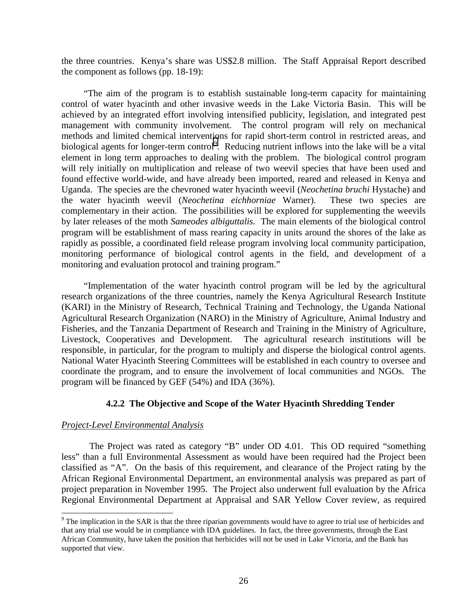the three countries. Kenya's share was US\$2.8 million. The Staff Appraisal Report described the component as follows (pp. 18-19):

"The aim of the program is to establish sustainable long-term capacity for maintaining control of water hyacinth and other invasive weeds in the Lake Victoria Basin. This will be achieved by an integrated effort involving intensified publicity, legislation, and integrated pest management with community involvement. The control program will rely on mechanical methods and limited chemical interventions for rapid short-term control in restricted areas, and biological agents for longer-term control<sup>9</sup>. Reducing nutrient inflows into the lake will be a vital element in long term approaches to dealing with the problem. The biological control program will rely initially on multiplication and release of two weevil species that have been used and found effective world-wide, and have already been imported, reared and released in Kenya and Uganda. The species are the chevroned water hyacinth weevil (*Neochetina bruchi* Hystache) and the water hyacinth weevil (*Neochetina eichhorniae* Warner). These two species are complementary in their action. The possibilities will be explored for supplementing the weevils by later releases of the moth *Sameodes albiguttalis.* The main elements of the biological control program will be establishment of mass rearing capacity in units around the shores of the lake as rapidly as possible, a coordinated field release program involving local community participation, monitoring performance of biological control agents in the field, and development of a monitoring and evaluation protocol and training program."

"Implementation of the water hyacinth control program will be led by the agricultural research organizations of the three countries, namely the Kenya Agricultural Research Institute (KARI) in the Ministry of Research, Technical Training and Technology, the Uganda National Agricultural Research Organization (NARO) in the Ministry of Agriculture, Animal Industry and Fisheries, and the Tanzania Department of Research and Training in the Ministry of Agriculture, Livestock, Cooperatives and Development. The agricultural research institutions will be responsible, in particular, for the program to multiply and disperse the biological control agents. National Water Hyacinth Steering Committees will be established in each country to oversee and coordinate the program, and to ensure the involvement of local communities and NGOs. The program will be financed by GEF (54%) and IDA (36%).

#### **4.2.2 The Objective and Scope of the Water Hyacinth Shredding Tender**

#### *Project-Level Environmental Analysis*

The Project was rated as category "B" under OD 4.01. This OD required "something less" than a full Environmental Assessment as would have been required had the Project been classified as "A". On the basis of this requirement, and clearance of the Project rating by the African Regional Environmental Department, an environmental analysis was prepared as part of project preparation in November 1995. The Project also underwent full evaluation by the Africa Regional Environmental Department at Appraisal and SAR Yellow Cover review, as required

<sup>&</sup>lt;sup>9</sup> The implication in the SAR is that the three riparian governments would have to agree to trial use of herbicides and that any trial use would be in compliance with IDA guidelines. In fact, the three governments, through the East African Community, have taken the position that herbicides will not be used in Lake Victoria, and the Bank has supported that view.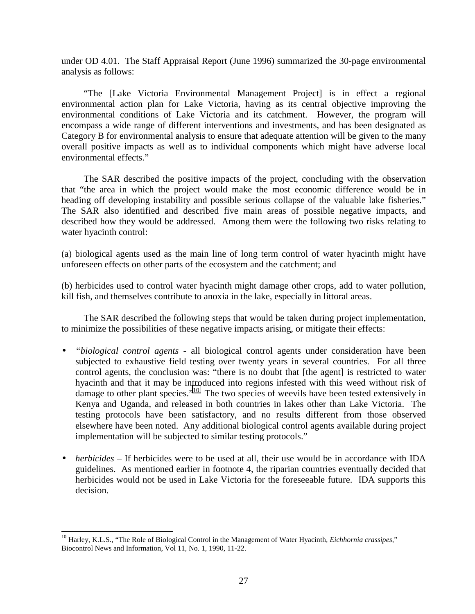under OD 4.01. The Staff Appraisal Report (June 1996) summarized the 30-page environmental analysis as follows:

"The [Lake Victoria Environmental Management Project] is in effect a regional environmental action plan for Lake Victoria, having as its central objective improving the environmental conditions of Lake Victoria and its catchment. However, the program will encompass a wide range of different interventions and investments, and has been designated as Category B for environmental analysis to ensure that adequate attention will be given to the many overall positive impacts as well as to individual components which might have adverse local environmental effects."

The SAR described the positive impacts of the project, concluding with the observation that "the area in which the project would make the most economic difference would be in heading off developing instability and possible serious collapse of the valuable lake fisheries." The SAR also identified and described five main areas of possible negative impacts, and described how they would be addressed. Among them were the following two risks relating to water hyacinth control:

(a) biological agents used as the main line of long term control of water hyacinth might have unforeseen effects on other parts of the ecosystem and the catchment; and

(b) herbicides used to control water hyacinth might damage other crops, add to water pollution, kill fish, and themselves contribute to anoxia in the lake, especially in littoral areas.

The SAR described the following steps that would be taken during project implementation, to minimize the possibilities of these negative impacts arising, or mitigate their effects:

- *"biological control agents* all biological control agents under consideration have been subjected to exhaustive field testing over twenty years in several countries. For all three control agents, the conclusion was: "there is no doubt that [the agent] is restricted to water hyacinth and that it may be introduced into regions infested with this weed without risk of damage to other plant species."<sup>10</sup> The two species of weevils have been tested extensively in Kenya and Uganda, and released in both countries in lakes other than Lake Victoria. The testing protocols have been satisfactory, and no results different from those observed elsewhere have been noted. Any additional biological control agents available during project implementation will be subjected to similar testing protocols."
- *herbicides* If herbicides were to be used at all, their use would be in accordance with IDA guidelines. As mentioned earlier in footnote 4, the riparian countries eventually decided that herbicides would not be used in Lake Victoria for the foreseeable future. IDA supports this decision.

 $\overline{a}$ 

<sup>&</sup>lt;sup>10</sup> Harley, K.L.S., "The Role of Biological Control in the Management of Water Hyacinth, *Eichhornia crassipes*," Biocontrol News and Information, Vol 11, No. 1, 1990, 11-22.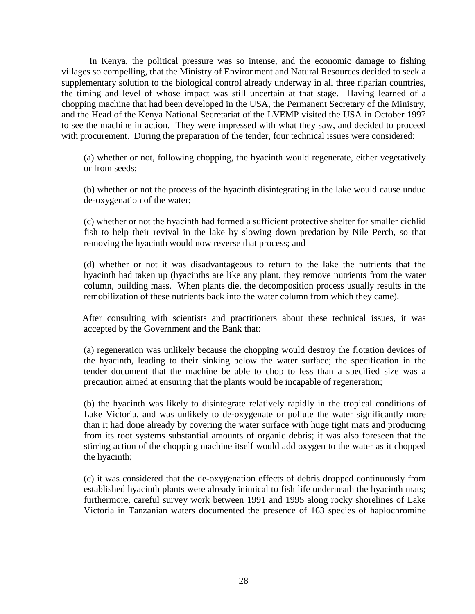In Kenya, the political pressure was so intense, and the economic damage to fishing villages so compelling, that the Ministry of Environment and Natural Resources decided to seek a supplementary solution to the biological control already underway in all three riparian countries, the timing and level of whose impact was still uncertain at that stage. Having learned of a chopping machine that had been developed in the USA, the Permanent Secretary of the Ministry, and the Head of the Kenya National Secretariat of the LVEMP visited the USA in October 1997 to see the machine in action. They were impressed with what they saw, and decided to proceed with procurement. During the preparation of the tender, four technical issues were considered:

(a) whether or not, following chopping, the hyacinth would regenerate, either vegetatively or from seeds;

(b) whether or not the process of the hyacinth disintegrating in the lake would cause undue de-oxygenation of the water;

(c) whether or not the hyacinth had formed a sufficient protective shelter for smaller cichlid fish to help their revival in the lake by slowing down predation by Nile Perch, so that removing the hyacinth would now reverse that process; and

(d) whether or not it was disadvantageous to return to the lake the nutrients that the hyacinth had taken up (hyacinths are like any plant, they remove nutrients from the water column, building mass. When plants die, the decomposition process usually results in the remobilization of these nutrients back into the water column from which they came).

After consulting with scientists and practitioners about these technical issues, it was accepted by the Government and the Bank that:

(a) regeneration was unlikely because the chopping would destroy the flotation devices of the hyacinth, leading to their sinking below the water surface; the specification in the tender document that the machine be able to chop to less than a specified size was a precaution aimed at ensuring that the plants would be incapable of regeneration;

(b) the hyacinth was likely to disintegrate relatively rapidly in the tropical conditions of Lake Victoria, and was unlikely to de-oxygenate or pollute the water significantly more than it had done already by covering the water surface with huge tight mats and producing from its root systems substantial amounts of organic debris; it was also foreseen that the stirring action of the chopping machine itself would add oxygen to the water as it chopped the hyacinth;

(c) it was considered that the de-oxygenation effects of debris dropped continuously from established hyacinth plants were already inimical to fish life underneath the hyacinth mats; furthermore, careful survey work between 1991 and 1995 along rocky shorelines of Lake Victoria in Tanzanian waters documented the presence of 163 species of haplochromine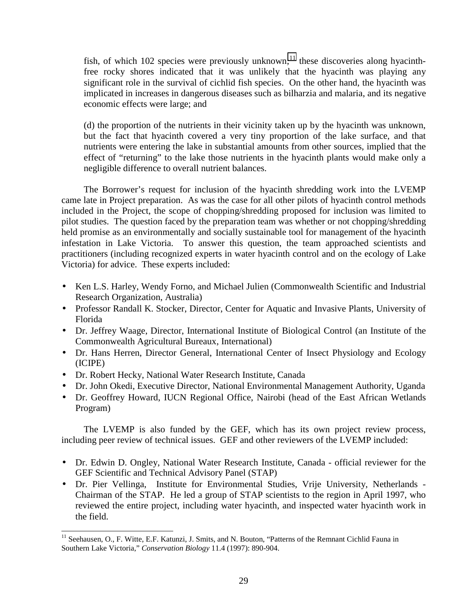fish, of which 102 species were previously unknown;<sup>11</sup> these discoveries along hyacinthfree rocky shores indicated that it was unlikely that the hyacinth was playing any significant role in the survival of cichlid fish species. On the other hand, the hyacinth was implicated in increases in dangerous diseases such as bilharzia and malaria, and its negative economic effects were large; and

(d) the proportion of the nutrients in their vicinity taken up by the hyacinth was unknown, but the fact that hyacinth covered a very tiny proportion of the lake surface, and that nutrients were entering the lake in substantial amounts from other sources, implied that the effect of "returning" to the lake those nutrients in the hyacinth plants would make only a negligible difference to overall nutrient balances.

The Borrower's request for inclusion of the hyacinth shredding work into the LVEMP came late in Project preparation. As was the case for all other pilots of hyacinth control methods included in the Project, the scope of chopping/shredding proposed for inclusion was limited to pilot studies. The question faced by the preparation team was whether or not chopping/shredding held promise as an environmentally and socially sustainable tool for management of the hyacinth infestation in Lake Victoria. To answer this question, the team approached scientists and practitioners (including recognized experts in water hyacinth control and on the ecology of Lake Victoria) for advice. These experts included:

- Ken L.S. Harley, Wendy Forno, and Michael Julien (Commonwealth Scientific and Industrial Research Organization, Australia)
- Professor Randall K. Stocker, Director, Center for Aquatic and Invasive Plants, University of Florida
- Dr. Jeffrey Waage, Director, International Institute of Biological Control (an Institute of the Commonwealth Agricultural Bureaux, International)
- Dr. Hans Herren, Director General, International Center of Insect Physiology and Ecology (ICIPE)
- Dr. Robert Hecky, National Water Research Institute, Canada

 $\overline{a}$ 

- Dr. John Okedi, Executive Director, National Environmental Management Authority, Uganda
- Dr. Geoffrey Howard, IUCN Regional Office, Nairobi (head of the East African Wetlands Program)

The LVEMP is also funded by the GEF, which has its own project review process, including peer review of technical issues. GEF and other reviewers of the LVEMP included:

- Dr. Edwin D. Ongley, National Water Research Institute, Canada official reviewer for the GEF Scientific and Technical Advisory Panel (STAP)
- Dr. Pier Vellinga, Institute for Environmental Studies, Vrije University, Netherlands Chairman of the STAP. He led a group of STAP scientists to the region in April 1997, who reviewed the entire project, including water hyacinth, and inspected water hyacinth work in the field.

<sup>&</sup>lt;sup>11</sup> Seehausen, O., F. Witte, E.F. Katunzi, J. Smits, and N. Bouton, "Patterns of the Remnant Cichlid Fauna in Southern Lake Victoria," *Conservation Biology* 11.4 (1997): 890-904.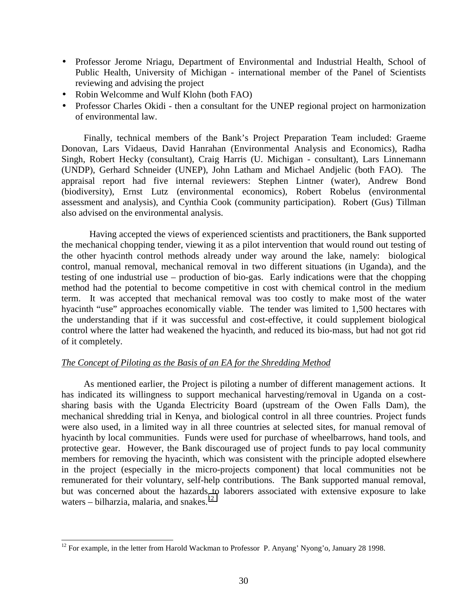- Professor Jerome Nriagu, Department of Environmental and Industrial Health, School of Public Health, University of Michigan - international member of the Panel of Scientists reviewing and advising the project
- Robin Welcomme and Wulf Klohn (both FAO)
- Professor Charles Okidi then a consultant for the UNEP regional project on harmonization of environmental law.

Finally, technical members of the Bank's Project Preparation Team included: Graeme Donovan, Lars Vidaeus, David Hanrahan (Environmental Analysis and Economics), Radha Singh, Robert Hecky (consultant), Craig Harris (U. Michigan - consultant), Lars Linnemann (UNDP), Gerhard Schneider (UNEP), John Latham and Michael Andjelic (both FAO). The appraisal report had five internal reviewers: Stephen Lintner (water), Andrew Bond (biodiversity), Ernst Lutz (environmental economics), Robert Robelus (environmental assessment and analysis), and Cynthia Cook (community participation). Robert (Gus) Tillman also advised on the environmental analysis.

Having accepted the views of experienced scientists and practitioners, the Bank supported the mechanical chopping tender, viewing it as a pilot intervention that would round out testing of the other hyacinth control methods already under way around the lake, namely: biological control, manual removal, mechanical removal in two different situations (in Uganda), and the testing of one industrial use – production of bio-gas. Early indications were that the chopping method had the potential to become competitive in cost with chemical control in the medium term. It was accepted that mechanical removal was too costly to make most of the water hyacinth "use" approaches economically viable. The tender was limited to 1,500 hectares with the understanding that if it was successful and cost-effective, it could supplement biological control where the latter had weakened the hyacinth, and reduced its bio-mass, but had not got rid of it completely.

#### *The Concept of Piloting as the Basis of an EA for the Shredding Method*

As mentioned earlier, the Project is piloting a number of different management actions. It has indicated its willingness to support mechanical harvesting/removal in Uganda on a costsharing basis with the Uganda Electricity Board (upstream of the Owen Falls Dam), the mechanical shredding trial in Kenya, and biological control in all three countries. Project funds were also used, in a limited way in all three countries at selected sites, for manual removal of hyacinth by local communities. Funds were used for purchase of wheelbarrows, hand tools, and protective gear. However, the Bank discouraged use of project funds to pay local community members for removing the hyacinth, which was consistent with the principle adopted elsewhere in the project (especially in the micro-projects component) that local communities not be remunerated for their voluntary, self-help contributions. The Bank supported manual removal, but was concerned about the hazards to laborers associated with extensive exposure to lake waters – bilharzia, malaria, and snakes. $12$ 

 $\overline{a}$ 

 $12$  For example, in the letter from Harold Wackman to Professor P. Anyang' Nyong'o, January 28 1998.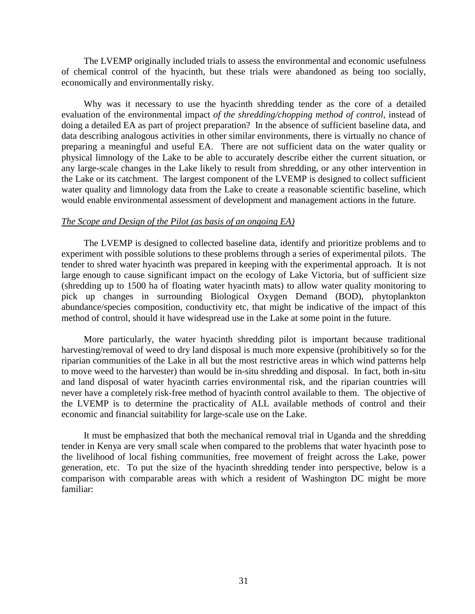The LVEMP originally included trials to assess the environmental and economic usefulness of chemical control of the hyacinth, but these trials were abandoned as being too socially, economically and environmentally risky.

Why was it necessary to use the hyacinth shredding tender as the core of a detailed evaluation of the environmental impact *of the shredding/chopping method of control*, instead of doing a detailed EA as part of project preparation? In the absence of sufficient baseline data, and data describing analogous activities in other similar environments, there is virtually no chance of preparing a meaningful and useful EA. There are not sufficient data on the water quality or physical limnology of the Lake to be able to accurately describe either the current situation, or any large-scale changes in the Lake likely to result from shredding, or any other intervention in the Lake or its catchment. The largest component of the LVEMP is designed to collect sufficient water quality and limnology data from the Lake to create a reasonable scientific baseline, which would enable environmental assessment of development and management actions in the future.

#### *The Scope and Design of the Pilot (as basis of an ongoing EA)*

The LVEMP is designed to collected baseline data, identify and prioritize problems and to experiment with possible solutions to these problems through a series of experimental pilots. The tender to shred water hyacinth was prepared in keeping with the experimental approach. It is not large enough to cause significant impact on the ecology of Lake Victoria, but of sufficient size (shredding up to 1500 ha of floating water hyacinth mats) to allow water quality monitoring to pick up changes in surrounding Biological Oxygen Demand (BOD), phytoplankton abundance/species composition, conductivity etc, that might be indicative of the impact of this method of control, should it have widespread use in the Lake at some point in the future.

More particularly, the water hyacinth shredding pilot is important because traditional harvesting/removal of weed to dry land disposal is much more expensive (prohibitively so for the riparian communities of the Lake in all but the most restrictive areas in which wind patterns help to move weed to the harvester) than would be in-situ shredding and disposal. In fact, both in-situ and land disposal of water hyacinth carries environmental risk, and the riparian countries will never have a completely risk-free method of hyacinth control available to them. The objective of the LVEMP is to determine the practicality of ALL available methods of control and their economic and financial suitability for large-scale use on the Lake.

It must be emphasized that both the mechanical removal trial in Uganda and the shredding tender in Kenya are very small scale when compared to the problems that water hyacinth pose to the livelihood of local fishing communities, free movement of freight across the Lake, power generation, etc. To put the size of the hyacinth shredding tender into perspective, below is a comparison with comparable areas with which a resident of Washington DC might be more familiar: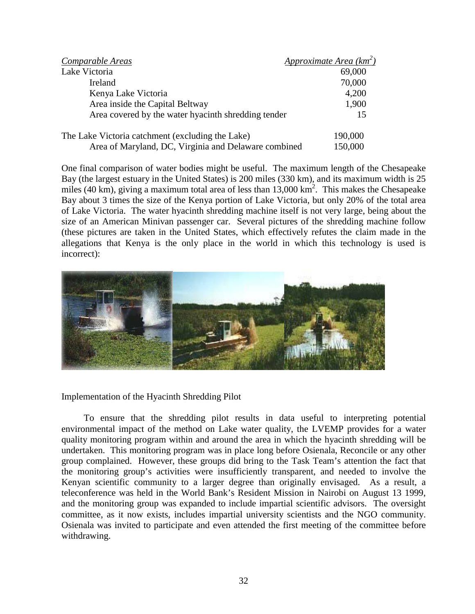| Comparable Areas                                     | <b>Approximate Area (km<sup>2</sup>)</b> |
|------------------------------------------------------|------------------------------------------|
| Lake Victoria                                        | 69,000                                   |
| Ireland                                              | 70,000                                   |
| Kenya Lake Victoria                                  | 4,200                                    |
| Area inside the Capital Beltway                      | 1,900                                    |
| Area covered by the water hyacinth shredding tender  | 15                                       |
| The Lake Victoria catchment (excluding the Lake)     | 190,000                                  |
| Area of Maryland, DC, Virginia and Delaware combined | 150,000                                  |

One final comparison of water bodies might be useful. The maximum length of the Chesapeake Bay (the largest estuary in the United States) is 200 miles (330 km), and its maximum width is 25 miles (40 km), giving a maximum total area of less than  $13,000 \text{ km}^2$ . This makes the Chesapeake Bay about 3 times the size of the Kenya portion of Lake Victoria, but only 20% of the total area of Lake Victoria. The water hyacinth shredding machine itself is not very large, being about the size of an American Minivan passenger car. Several pictures of the shredding machine follow (these pictures are taken in the United States, which effectively refutes the claim made in the allegations that Kenya is the only place in the world in which this technology is used is incorrect):



Implementation of the Hyacinth Shredding Pilot

To ensure that the shredding pilot results in data useful to interpreting potential environmental impact of the method on Lake water quality, the LVEMP provides for a water quality monitoring program within and around the area in which the hyacinth shredding will be undertaken. This monitoring program was in place long before Osienala, Reconcile or any other group complained. However, these groups did bring to the Task Team's attention the fact that the monitoring group's activities were insufficiently transparent, and needed to involve the Kenyan scientific community to a larger degree than originally envisaged. As a result, a teleconference was held in the World Bank's Resident Mission in Nairobi on August 13 1999, and the monitoring group was expanded to include impartial scientific advisors. The oversight committee, as it now exists, includes impartial university scientists and the NGO community. Osienala was invited to participate and even attended the first meeting of the committee before withdrawing.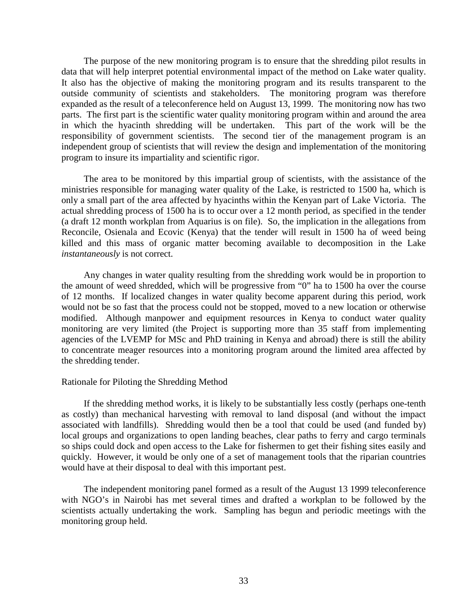The purpose of the new monitoring program is to ensure that the shredding pilot results in data that will help interpret potential environmental impact of the method on Lake water quality. It also has the objective of making the monitoring program and its results transparent to the outside community of scientists and stakeholders. The monitoring program was therefore expanded as the result of a teleconference held on August 13, 1999. The monitoring now has two parts. The first part is the scientific water quality monitoring program within and around the area in which the hyacinth shredding will be undertaken. This part of the work will be the responsibility of government scientists. The second tier of the management program is an independent group of scientists that will review the design and implementation of the monitoring program to insure its impartiality and scientific rigor.

The area to be monitored by this impartial group of scientists, with the assistance of the ministries responsible for managing water quality of the Lake, is restricted to 1500 ha, which is only a small part of the area affected by hyacinths within the Kenyan part of Lake Victoria. The actual shredding process of 1500 ha is to occur over a 12 month period, as specified in the tender (a draft 12 month workplan from Aquarius is on file). So, the implication in the allegations from Reconcile, Osienala and Ecovic (Kenya) that the tender will result in 1500 ha of weed being killed and this mass of organic matter becoming available to decomposition in the Lake *instantaneously* is not correct.

Any changes in water quality resulting from the shredding work would be in proportion to the amount of weed shredded, which will be progressive from "0" ha to 1500 ha over the course of 12 months. If localized changes in water quality become apparent during this period, work would not be so fast that the process could not be stopped, moved to a new location or otherwise modified. Although manpower and equipment resources in Kenya to conduct water quality monitoring are very limited (the Project is supporting more than 35 staff from implementing agencies of the LVEMP for MSc and PhD training in Kenya and abroad) there is still the ability to concentrate meager resources into a monitoring program around the limited area affected by the shredding tender.

#### Rationale for Piloting the Shredding Method

If the shredding method works, it is likely to be substantially less costly (perhaps one-tenth as costly) than mechanical harvesting with removal to land disposal (and without the impact associated with landfills). Shredding would then be a tool that could be used (and funded by) local groups and organizations to open landing beaches, clear paths to ferry and cargo terminals so ships could dock and open access to the Lake for fishermen to get their fishing sites easily and quickly. However, it would be only one of a set of management tools that the riparian countries would have at their disposal to deal with this important pest.

The independent monitoring panel formed as a result of the August 13 1999 teleconference with NGO's in Nairobi has met several times and drafted a workplan to be followed by the scientists actually undertaking the work. Sampling has begun and periodic meetings with the monitoring group held.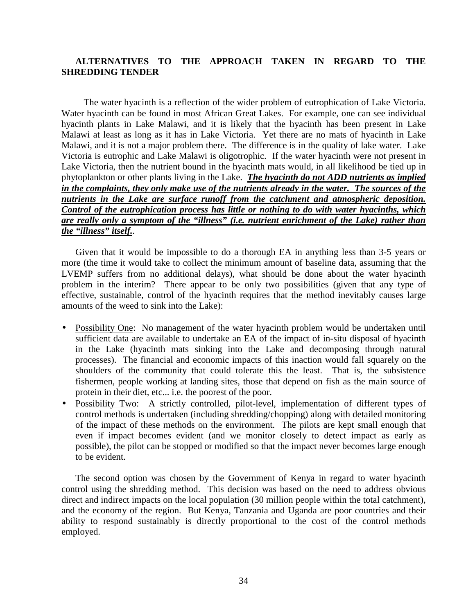# **ALTERNATIVES TO THE APPROACH TAKEN IN REGARD TO THE SHREDDING TENDER**

The water hyacinth is a reflection of the wider problem of eutrophication of Lake Victoria. Water hyacinth can be found in most African Great Lakes. For example, one can see individual hyacinth plants in Lake Malawi, and it is likely that the hyacinth has been present in Lake Malawi at least as long as it has in Lake Victoria. Yet there are no mats of hyacinth in Lake Malawi, and it is not a major problem there. The difference is in the quality of lake water. Lake Victoria is eutrophic and Lake Malawi is oligotrophic. If the water hyacinth were not present in Lake Victoria, then the nutrient bound in the hyacinth mats would, in all likelihood be tied up in phytoplankton or other plants living in the Lake. *The hyacinth do not ADD nutrients as implied in the complaints, they only make use of the nutrients already in the water. The sources of the nutrients in the Lake are surface runoff from the catchment and atmospheric deposition. Control of the eutrophication process has little or nothing to do with water hyacinths, which are really only a symptom of the "illness" (i.e. nutrient enrichment of the Lake) rather than the "illness" itself.*.

Given that it would be impossible to do a thorough EA in anything less than 3-5 years or more (the time it would take to collect the minimum amount of baseline data, assuming that the LVEMP suffers from no additional delays), what should be done about the water hyacinth problem in the interim? There appear to be only two possibilities (given that any type of effective, sustainable, control of the hyacinth requires that the method inevitably causes large amounts of the weed to sink into the Lake):

- Possibility One: No management of the water hyacinth problem would be undertaken until sufficient data are available to undertake an EA of the impact of in-situ disposal of hyacinth in the Lake (hyacinth mats sinking into the Lake and decomposing through natural processes). The financial and economic impacts of this inaction would fall squarely on the shoulders of the community that could tolerate this the least. That is, the subsistence fishermen, people working at landing sites, those that depend on fish as the main source of protein in their diet, etc... i.e. the poorest of the poor.
- Possibility Two: A strictly controlled, pilot-level, implementation of different types of control methods is undertaken (including shredding/chopping) along with detailed monitoring of the impact of these methods on the environment. The pilots are kept small enough that even if impact becomes evident (and we monitor closely to detect impact as early as possible), the pilot can be stopped or modified so that the impact never becomes large enough to be evident.

The second option was chosen by the Government of Kenya in regard to water hyacinth control using the shredding method. This decision was based on the need to address obvious direct and indirect impacts on the local population (30 million people within the total catchment), and the economy of the region. But Kenya, Tanzania and Uganda are poor countries and their ability to respond sustainably is directly proportional to the cost of the control methods employed.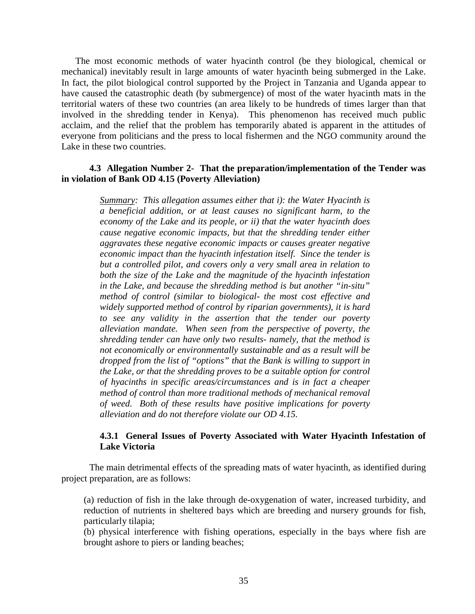The most economic methods of water hyacinth control (be they biological, chemical or mechanical) inevitably result in large amounts of water hyacinth being submerged in the Lake. In fact, the pilot biological control supported by the Project in Tanzania and Uganda appear to have caused the catastrophic death (by submergence) of most of the water hyacinth mats in the territorial waters of these two countries (an area likely to be hundreds of times larger than that involved in the shredding tender in Kenya). This phenomenon has received much public acclaim, and the relief that the problem has temporarily abated is apparent in the attitudes of everyone from politicians and the press to local fishermen and the NGO community around the Lake in these two countries.

#### **4.3 Allegation Number 2- That the preparation/implementation of the Tender was in violation of Bank OD 4.15 (Poverty Alleviation)**

*Summary: This allegation assumes either that i): the Water Hyacinth is a beneficial addition, or at least causes no significant harm, to the economy of the Lake and its people, or ii) that the water hyacinth does cause negative economic impacts, but that the shredding tender either aggravates these negative economic impacts or causes greater negative economic impact than the hyacinth infestation itself. Since the tender is but a controlled pilot, and covers only a very small area in relation to both the size of the Lake and the magnitude of the hyacinth infestation in the Lake, and because the shredding method is but another "in-situ" method of control (similar to biological- the most cost effective and widely supported method of control by riparian governments), it is hard to see any validity in the assertion that the tender our poverty alleviation mandate. When seen from the perspective of poverty, the shredding tender can have only two results- namely, that the method is not economically or environmentally sustainable and as a result will be dropped from the list of "options" that the Bank is willing to support in the Lake, or that the shredding proves to be a suitable option for control of hyacinths in specific areas/circumstances and is in fact a cheaper method of control than more traditional methods of mechanical removal of weed. Both of these results have positive implications for poverty alleviation and do not therefore violate our OD 4.15.*

#### **4.3.1 General Issues of Poverty Associated with Water Hyacinth Infestation of Lake Victoria**

The main detrimental effects of the spreading mats of water hyacinth, as identified during project preparation, are as follows:

(a) reduction of fish in the lake through de-oxygenation of water, increased turbidity, and reduction of nutrients in sheltered bays which are breeding and nursery grounds for fish, particularly tilapia;

(b) physical interference with fishing operations, especially in the bays where fish are brought ashore to piers or landing beaches;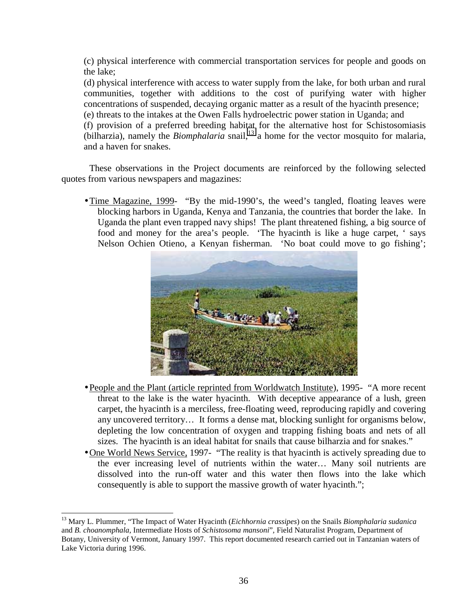(c) physical interference with commercial transportation services for people and goods on the lake;

(d) physical interference with access to water supply from the lake, for both urban and rural communities, together with additions to the cost of purifying water with higher concentrations of suspended, decaying organic matter as a result of the hyacinth presence; (e) threats to the intakes at the Owen Falls hydroelectric power station in Uganda; and

(f) provision of a preferred breeding habitat for the alternative host for Schistosomiasis  $(hilharzia)$ , namely the *Biomphalaria* snail,<sup>13</sup> a home for the vector mosquito for malaria, and a haven for snakes.

These observations in the Project documents are reinforced by the following selected quotes from various newspapers and magazines:

• Time Magazine, 1999- "By the mid-1990's, the weed's tangled, floating leaves were blocking harbors in Uganda, Kenya and Tanzania, the countries that border the lake. In Uganda the plant even trapped navy ships! The plant threatened fishing, a big source of food and money for the area's people. 'The hyacinth is like a huge carpet, ' says Nelson Ochien Otieno, a Kenyan fisherman. 'No boat could move to go fishing';



- People and the Plant (article reprinted from Worldwatch Institute), 1995- "A more recent threat to the lake is the water hyacinth. With deceptive appearance of a lush, green carpet, the hyacinth is a merciless, free-floating weed, reproducing rapidly and covering any uncovered territory… It forms a dense mat, blocking sunlight for organisms below, depleting the low concentration of oxygen and trapping fishing boats and nets of all sizes. The hyacinth is an ideal habitat for snails that cause bilharzia and for snakes."
- •One World News Service, 1997- "The reality is that hyacinth is actively spreading due to the ever increasing level of nutrients within the water… Many soil nutrients are dissolved into the run-off water and this water then flows into the lake which consequently is able to support the massive growth of water hyacinth.";

 $\overline{a}$ 

<sup>13</sup> Mary L. Plummer, "The Impact of Water Hyacinth (*Eichhornia crassipes*) on the Snails *Biomphalaria sudanica* and *B. choanomphala*, Intermediate Hosts of *Schistosoma mansoni*"*,* Field Naturalist Program, Department of Botany, University of Vermont, January 1997. This report documented research carried out in Tanzanian waters of Lake Victoria during 1996.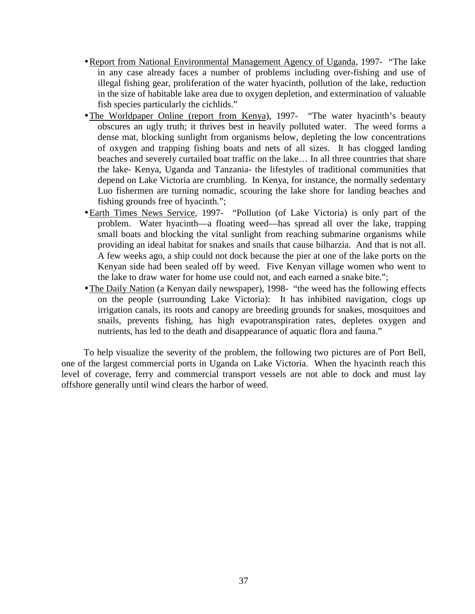- •Report from National Environmental Management Agency of Uganda, 1997- "The lake in any case already faces a number of problems including over-fishing and use of illegal fishing gear, proliferation of the water hyacinth, pollution of the lake, reduction in the size of habitable lake area due to oxygen depletion, and extermination of valuable fish species particularly the cichlids."
- •The Worldpaper Online (report from Kenya), 1997- "The water hyacinth's beauty obscures an ugly truth; it thrives best in heavily polluted water. The weed forms a dense mat, blocking sunlight from organisms below, depleting the low concentrations of oxygen and trapping fishing boats and nets of all sizes. It has clogged landing beaches and severely curtailed boat traffic on the lake… In all three countries that share the lake- Kenya, Uganda and Tanzania- the lifestyles of traditional communities that depend on Lake Victoria are crumbling. In Kenya, for instance, the normally sedentary Luo fishermen are turning nomadic, scouring the lake shore for landing beaches and fishing grounds free of hyacinth.";
- •Earth Times News Service, 1997- "Pollution (of Lake Victoria) is only part of the problem. Water hyacinth—a floating weed—has spread all over the lake, trapping small boats and blocking the vital sunlight from reaching submarine organisms while providing an ideal habitat for snakes and snails that cause bilharzia. And that is not all. A few weeks ago, a ship could not dock because the pier at one of the lake ports on the Kenyan side had been sealed off by weed. Five Kenyan village women who went to the lake to draw water for home use could not, and each earned a snake bite.";
- The Daily Nation (a Kenyan daily newspaper), 1998- "the weed has the following effects on the people (surrounding Lake Victoria): It has inhibited navigation, clogs up irrigation canals, its roots and canopy are breeding grounds for snakes, mosquitoes and snails, prevents fishing, has high evapotranspiration rates, depletes oxygen and nutrients, has led to the death and disappearance of aquatic flora and fauna."

To help visualize the severity of the problem, the following two pictures are of Port Bell, one of the largest commercial ports in Uganda on Lake Victoria. When the hyacinth reach this level of coverage, ferry and commercial transport vessels are not able to dock and must lay offshore generally until wind clears the harbor of weed.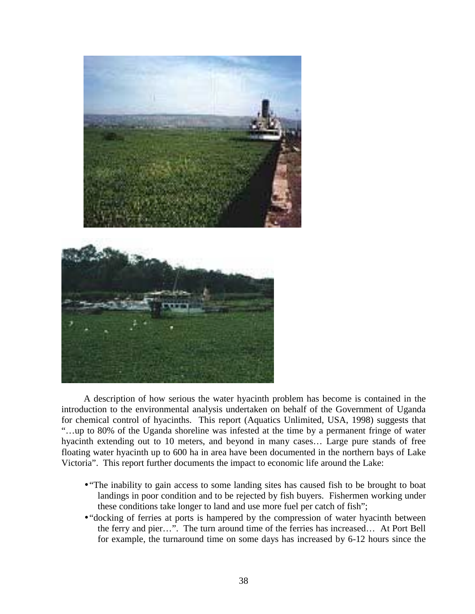

A description of how serious the water hyacinth problem has become is contained in the introduction to the environmental analysis undertaken on behalf of the Government of Uganda for chemical control of hyacinths. This report (Aquatics Unlimited, USA, 1998) suggests that "…up to 80% of the Uganda shoreline was infested at the time by a permanent fringe of water hyacinth extending out to 10 meters, and beyond in many cases… Large pure stands of free floating water hyacinth up to 600 ha in area have been documented in the northern bays of Lake Victoria". This report further documents the impact to economic life around the Lake:

- "The inability to gain access to some landing sites has caused fish to be brought to boat landings in poor condition and to be rejected by fish buyers. Fishermen working under these conditions take longer to land and use more fuel per catch of fish";
- "docking of ferries at ports is hampered by the compression of water hyacinth between the ferry and pier…". The turn around time of the ferries has increased… At Port Bell for example, the turnaround time on some days has increased by 6-12 hours since the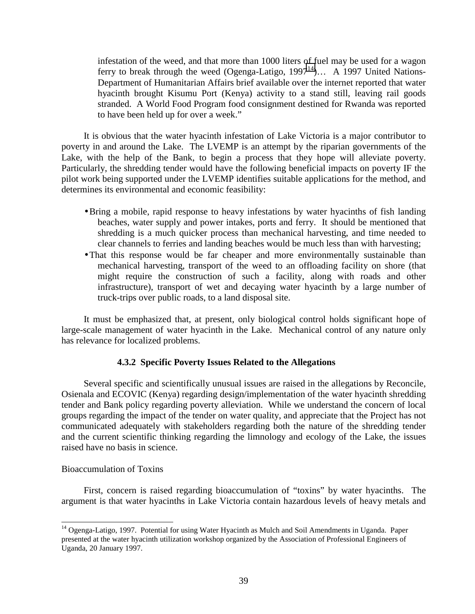infestation of the weed, and that more than 1000 liters of fuel may be used for a wagon ferry to break through the weed (Ogenga-Latigo,  $1997^{14}$ )... A 1997 United Nations-Department of Humanitarian Affairs brief available over the internet reported that water hyacinth brought Kisumu Port (Kenya) activity to a stand still, leaving rail goods stranded. A World Food Program food consignment destined for Rwanda was reported to have been held up for over a week."

It is obvious that the water hyacinth infestation of Lake Victoria is a major contributor to poverty in and around the Lake. The LVEMP is an attempt by the riparian governments of the Lake, with the help of the Bank, to begin a process that they hope will alleviate poverty. Particularly, the shredding tender would have the following beneficial impacts on poverty IF the pilot work being supported under the LVEMP identifies suitable applications for the method, and determines its environmental and economic feasibility:

- •Bring a mobile, rapid response to heavy infestations by water hyacinths of fish landing beaches, water supply and power intakes, ports and ferry. It should be mentioned that shredding is a much quicker process than mechanical harvesting, and time needed to clear channels to ferries and landing beaches would be much less than with harvesting;
- •That this response would be far cheaper and more environmentally sustainable than mechanical harvesting, transport of the weed to an offloading facility on shore (that might require the construction of such a facility, along with roads and other infrastructure), transport of wet and decaying water hyacinth by a large number of truck-trips over public roads, to a land disposal site.

It must be emphasized that, at present, only biological control holds significant hope of large-scale management of water hyacinth in the Lake. Mechanical control of any nature only has relevance for localized problems.

#### **4.3.2 Specific Poverty Issues Related to the Allegations**

Several specific and scientifically unusual issues are raised in the allegations by Reconcile, Osienala and ECOVIC (Kenya) regarding design/implementation of the water hyacinth shredding tender and Bank policy regarding poverty alleviation. While we understand the concern of local groups regarding the impact of the tender on water quality, and appreciate that the Project has not communicated adequately with stakeholders regarding both the nature of the shredding tender and the current scientific thinking regarding the limnology and ecology of the Lake, the issues raised have no basis in science.

#### Bioaccumulation of Toxins

 $\overline{\phantom{a}}$ 

First, concern is raised regarding bioaccumulation of "toxins" by water hyacinths. The argument is that water hyacinths in Lake Victoria contain hazardous levels of heavy metals and

<sup>&</sup>lt;sup>14</sup> Ogenga-Latigo, 1997. Potential for using Water Hyacinth as Mulch and Soil Amendments in Uganda. Paper presented at the water hyacinth utilization workshop organized by the Association of Professional Engineers of Uganda, 20 January 1997.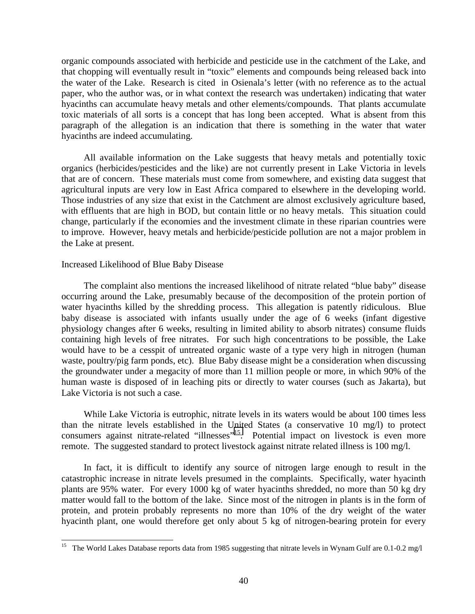organic compounds associated with herbicide and pesticide use in the catchment of the Lake, and that chopping will eventually result in "toxic" elements and compounds being released back into the water of the Lake. Research is cited in Osienala's letter (with no reference as to the actual paper, who the author was, or in what context the research was undertaken) indicating that water hyacinths can accumulate heavy metals and other elements/compounds. That plants accumulate toxic materials of all sorts is a concept that has long been accepted. What is absent from this paragraph of the allegation is an indication that there is something in the water that water hyacinths are indeed accumulating.

All available information on the Lake suggests that heavy metals and potentially toxic organics (herbicides/pesticides and the like) are not currently present in Lake Victoria in levels that are of concern. These materials must come from somewhere, and existing data suggest that agricultural inputs are very low in East Africa compared to elsewhere in the developing world. Those industries of any size that exist in the Catchment are almost exclusively agriculture based, with effluents that are high in BOD, but contain little or no heavy metals. This situation could change, particularly if the economies and the investment climate in these riparian countries were to improve. However, heavy metals and herbicide/pesticide pollution are not a major problem in the Lake at present.

#### Increased Likelihood of Blue Baby Disease

 $\overline{\phantom{a}}$ 

The complaint also mentions the increased likelihood of nitrate related "blue baby" disease occurring around the Lake, presumably because of the decomposition of the protein portion of water hyacinths killed by the shredding process. This allegation is patently ridiculous. Blue baby disease is associated with infants usually under the age of 6 weeks (infant digestive physiology changes after 6 weeks, resulting in limited ability to absorb nitrates) consume fluids containing high levels of free nitrates. For such high concentrations to be possible, the Lake would have to be a cesspit of untreated organic waste of a type very high in nitrogen (human waste, poultry/pig farm ponds, etc). Blue Baby disease might be a consideration when discussing the groundwater under a megacity of more than 11 million people or more, in which 90% of the human waste is disposed of in leaching pits or directly to water courses (such as Jakarta), but Lake Victoria is not such a case.

While Lake Victoria is eutrophic, nitrate levels in its waters would be about 100 times less than the nitrate levels established in the United States (a conservative 10 mg/l) to protect consumers against nitrate-related "illnesses"<sup>15</sup>. Potential impact on livestock is even more remote. The suggested standard to protect livestock against nitrate related illness is 100 mg/l.

In fact, it is difficult to identify any source of nitrogen large enough to result in the catastrophic increase in nitrate levels presumed in the complaints. Specifically, water hyacinth plants are 95% water. For every 1000 kg of water hyacinths shredded, no more than 50 kg dry matter would fall to the bottom of the lake. Since most of the nitrogen in plants is in the form of protein, and protein probably represents no more than 10% of the dry weight of the water hyacinth plant, one would therefore get only about 5 kg of nitrogen-bearing protein for every

<sup>&</sup>lt;sup>15</sup> The World Lakes Database reports data from 1985 suggesting that nitrate levels in Wynam Gulf are 0.1-0.2 mg/l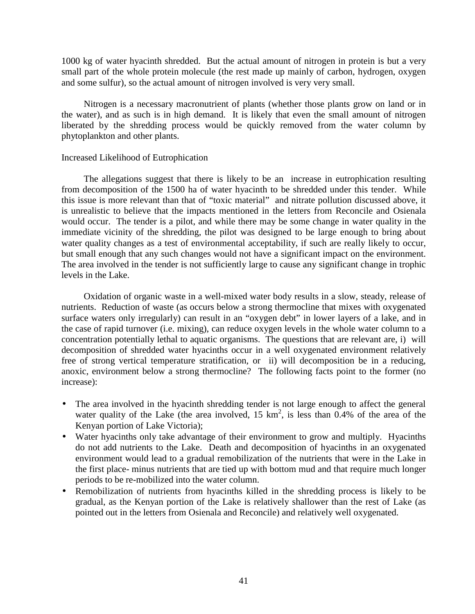1000 kg of water hyacinth shredded. But the actual amount of nitrogen in protein is but a very small part of the whole protein molecule (the rest made up mainly of carbon, hydrogen, oxygen and some sulfur), so the actual amount of nitrogen involved is very very small.

Nitrogen is a necessary macronutrient of plants (whether those plants grow on land or in the water), and as such is in high demand. It is likely that even the small amount of nitrogen liberated by the shredding process would be quickly removed from the water column by phytoplankton and other plants.

#### Increased Likelihood of Eutrophication

The allegations suggest that there is likely to be an increase in eutrophication resulting from decomposition of the 1500 ha of water hyacinth to be shredded under this tender. While this issue is more relevant than that of "toxic material" and nitrate pollution discussed above, it is unrealistic to believe that the impacts mentioned in the letters from Reconcile and Osienala would occur. The tender is a pilot, and while there may be some change in water quality in the immediate vicinity of the shredding, the pilot was designed to be large enough to bring about water quality changes as a test of environmental acceptability, if such are really likely to occur, but small enough that any such changes would not have a significant impact on the environment. The area involved in the tender is not sufficiently large to cause any significant change in trophic levels in the Lake.

Oxidation of organic waste in a well-mixed water body results in a slow, steady, release of nutrients. Reduction of waste (as occurs below a strong thermocline that mixes with oxygenated surface waters only irregularly) can result in an "oxygen debt" in lower layers of a lake, and in the case of rapid turnover (i.e. mixing), can reduce oxygen levels in the whole water column to a concentration potentially lethal to aquatic organisms. The questions that are relevant are, i) will decomposition of shredded water hyacinths occur in a well oxygenated environment relatively free of strong vertical temperature stratification, or ii) will decomposition be in a reducing, anoxic, environment below a strong thermocline? The following facts point to the former (no increase):

- The area involved in the hyacinth shredding tender is not large enough to affect the general water quality of the Lake (the area involved,  $15 \text{ km}^2$ , is less than 0.4% of the area of the Kenyan portion of Lake Victoria);
- Water hyacinths only take advantage of their environment to grow and multiply. Hyacinths do not add nutrients to the Lake. Death and decomposition of hyacinths in an oxygenated environment would lead to a gradual remobilization of the nutrients that were in the Lake in the first place- minus nutrients that are tied up with bottom mud and that require much longer periods to be re-mobilized into the water column.
- Remobilization of nutrients from hyacinths killed in the shredding process is likely to be gradual, as the Kenyan portion of the Lake is relatively shallower than the rest of Lake (as pointed out in the letters from Osienala and Reconcile) and relatively well oxygenated.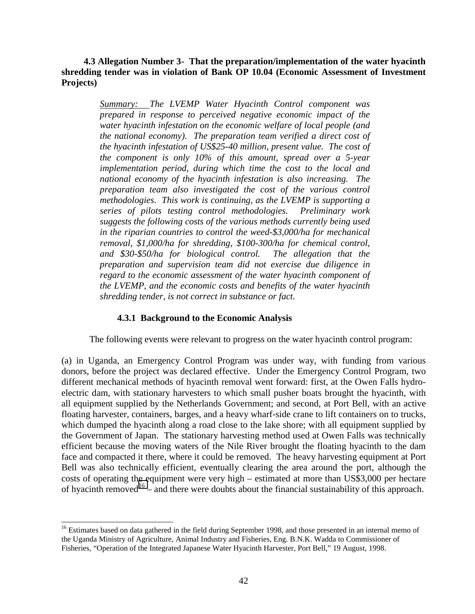#### **4.3 Allegation Number 3- That the preparation/implementation of the water hyacinth shredding tender was in violation of Bank OP 10.04 (Economic Assessment of Investment Projects)**

*Summary: The LVEMP Water Hyacinth Control component was prepared in response to perceived negative economic impact of the water hyacinth infestation on the economic welfare of local people (and the national economy). The preparation team verified a direct cost of the hyacinth infestation of US\$25-40 million, present value. The cost of the component is only 10% of this amount, spread over a 5-year implementation period, during which time the cost to the local and national economy of the hyacinth infestation is also increasing. The preparation team also investigated the cost of the various control methodologies. This work is continuing, as the LVEMP is supporting a series of pilots testing control methodologies. Preliminary work suggests the following costs of the various methods currently being used in the riparian countries to control the weed-\$3,000/ha for mechanical removal, \$1,000/ha for shredding, \$100-300/ha for chemical control, and \$30-\$50/ha for biological control. The allegation that the preparation and supervision team did not exercise due diligence in regard to the economic assessment of the water hyacinth component of the LVEMP, and the economic costs and benefits of the water hyacinth shredding tender, is not correct in substance or fact.*

#### **4.3.1 Background to the Economic Analysis**

The following events were relevant to progress on the water hyacinth control program:

(a) in Uganda, an Emergency Control Program was under way, with funding from various donors, before the project was declared effective. Under the Emergency Control Program, two different mechanical methods of hyacinth removal went forward: first, at the Owen Falls hydroelectric dam, with stationary harvesters to which small pusher boats brought the hyacinth, with all equipment supplied by the Netherlands Government; and second, at Port Bell, with an active floating harvester, containers, barges, and a heavy wharf-side crane to lift containers on to trucks, which dumped the hyacinth along a road close to the lake shore; with all equipment supplied by the Government of Japan. The stationary harvesting method used at Owen Falls was technically efficient because the moving waters of the Nile River brought the floating hyacinth to the dam face and compacted it there, where it could be removed. The heavy harvesting equipment at Port Bell was also technically efficient, eventually clearing the area around the port, although the costs of operating the equipment were very high – estimated at more than US\$3,000 per hectare of hyacinth removed<sup>16</sup> – and there were doubts about the financial sustainability of this approach.

 $\overline{\phantom{a}}$ 

<sup>&</sup>lt;sup>16</sup> Estimates based on data gathered in the field during September 1998, and those presented in an internal memo of the Uganda Ministry of Agriculture, Animal Industry and Fisheries, Eng. B.N.K. Wadda to Commissioner of Fisheries, "Operation of the Integrated Japanese Water Hyacinth Harvester, Port Bell," 19 August, 1998.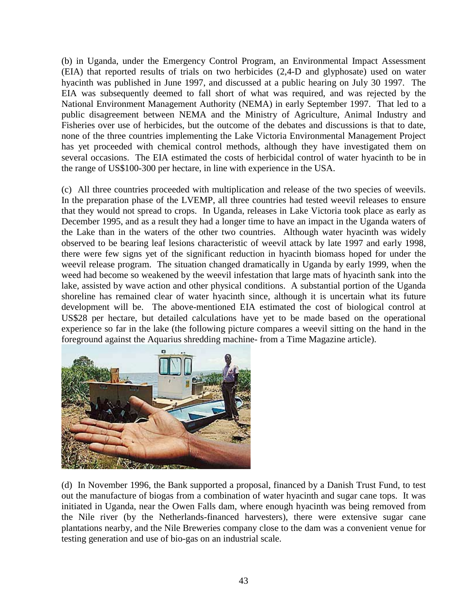(b) in Uganda, under the Emergency Control Program, an Environmental Impact Assessment (EIA) that reported results of trials on two herbicides (2,4-D and glyphosate) used on water hyacinth was published in June 1997, and discussed at a public hearing on July 30 1997. The EIA was subsequently deemed to fall short of what was required, and was rejected by the National Environment Management Authority (NEMA) in early September 1997. That led to a public disagreement between NEMA and the Ministry of Agriculture, Animal Industry and Fisheries over use of herbicides, but the outcome of the debates and discussions is that to date, none of the three countries implementing the Lake Victoria Environmental Management Project has yet proceeded with chemical control methods, although they have investigated them on several occasions. The EIA estimated the costs of herbicidal control of water hyacinth to be in the range of US\$100-300 per hectare, in line with experience in the USA.

(c) All three countries proceeded with multiplication and release of the two species of weevils. In the preparation phase of the LVEMP, all three countries had tested weevil releases to ensure that they would not spread to crops. In Uganda, releases in Lake Victoria took place as early as December 1995, and as a result they had a longer time to have an impact in the Uganda waters of the Lake than in the waters of the other two countries. Although water hyacinth was widely observed to be bearing leaf lesions characteristic of weevil attack by late 1997 and early 1998, there were few signs yet of the significant reduction in hyacinth biomass hoped for under the weevil release program. The situation changed dramatically in Uganda by early 1999, when the weed had become so weakened by the weevil infestation that large mats of hyacinth sank into the lake, assisted by wave action and other physical conditions. A substantial portion of the Uganda shoreline has remained clear of water hyacinth since, although it is uncertain what its future development will be. The above-mentioned EIA estimated the cost of biological control at US\$28 per hectare, but detailed calculations have yet to be made based on the operational experience so far in the lake (the following picture compares a weevil sitting on the hand in the foreground against the Aquarius shredding machine- from a Time Magazine article).



(d) In November 1996, the Bank supported a proposal, financed by a Danish Trust Fund, to test out the manufacture of biogas from a combination of water hyacinth and sugar cane tops. It was initiated in Uganda, near the Owen Falls dam, where enough hyacinth was being removed from the Nile river (by the Netherlands-financed harvesters), there were extensive sugar cane plantations nearby, and the Nile Breweries company close to the dam was a convenient venue for testing generation and use of bio-gas on an industrial scale.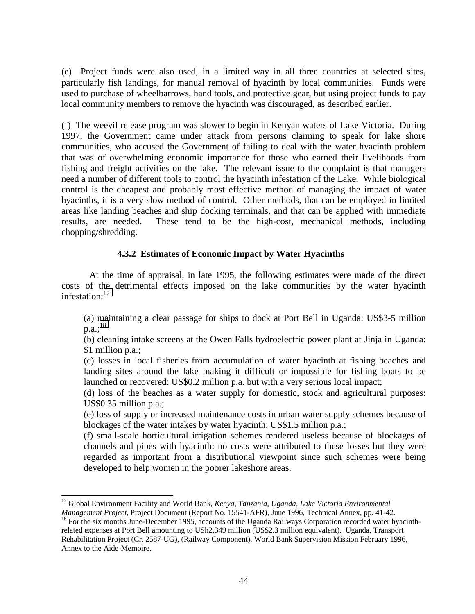(e) Project funds were also used, in a limited way in all three countries at selected sites, particularly fish landings, for manual removal of hyacinth by local communities. Funds were used to purchase of wheelbarrows, hand tools, and protective gear, but using project funds to pay local community members to remove the hyacinth was discouraged, as described earlier.

(f) The weevil release program was slower to begin in Kenyan waters of Lake Victoria. During 1997, the Government came under attack from persons claiming to speak for lake shore communities, who accused the Government of failing to deal with the water hyacinth problem that was of overwhelming economic importance for those who earned their livelihoods from fishing and freight activities on the lake. The relevant issue to the complaint is that managers need a number of different tools to control the hyacinth infestation of the Lake. While biological control is the cheapest and probably most effective method of managing the impact of water hyacinths, it is a very slow method of control. Other methods, that can be employed in limited areas like landing beaches and ship docking terminals, and that can be applied with immediate results, are needed. These tend to be the high-cost, mechanical methods, including chopping/shredding.

## **4.3.2 Estimates of Economic Impact by Water Hyacinths**

At the time of appraisal, in late 1995, the following estimates were made of the direct costs of the detrimental effects imposed on the lake communities by the water hyacinth infestation:<sup>17</sup>

(a) maintaining a clear passage for ships to dock at Port Bell in Uganda: US\$3-5 million  $p.a.:^{18}$ 

(b) cleaning intake screens at the Owen Falls hydroelectric power plant at Jinja in Uganda: \$1 million p.a.;

(c) losses in local fisheries from accumulation of water hyacinth at fishing beaches and landing sites around the lake making it difficult or impossible for fishing boats to be launched or recovered: US\$0.2 million p.a. but with a very serious local impact;

(d) loss of the beaches as a water supply for domestic, stock and agricultural purposes: US\$0.35 million p.a.;

(e) loss of supply or increased maintenance costs in urban water supply schemes because of blockages of the water intakes by water hyacinth: US\$1.5 million p.a.;

(f) small-scale horticultural irrigation schemes rendered useless because of blockages of channels and pipes with hyacinth: no costs were attributed to these losses but they were regarded as important from a distributional viewpoint since such schemes were being developed to help women in the poorer lakeshore areas.

 $\overline{\phantom{a}}$ 17 Global Environment Facility and World Bank*, Kenya, Tanzania, Uganda, Lake Victoria Environmental*

*Management Project*, Project Document (Report No. 15541-AFR), June 1996, Technical Annex, pp. 41-42.<br><sup>18</sup> For the six months June-December 1995, accounts of the Uganda Railways Corporation recorded water hyacinthrelated expenses at Port Bell amounting to USh2,349 million (US\$2.3 million equivalent). Uganda, Transport Rehabilitation Project (Cr. 2587-UG), (Railway Component), World Bank Supervision Mission February 1996, Annex to the Aide-Memoire.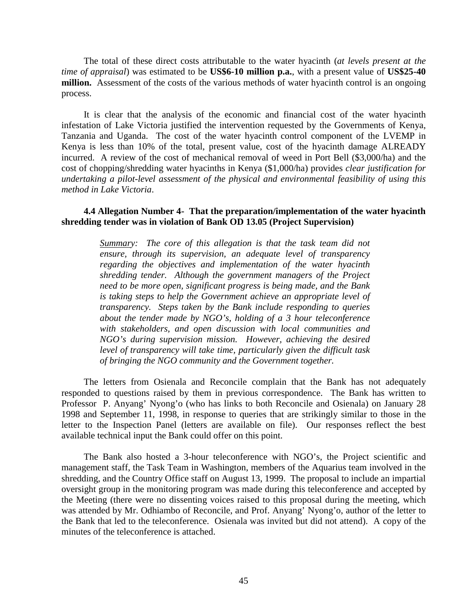The total of these direct costs attributable to the water hyacinth (*at levels present at the time of appraisal*) was estimated to be **US\$6-10 million p.a.**, with a present value of **US\$25-40 million.** Assessment of the costs of the various methods of water hyacinth control is an ongoing process.

It is clear that the analysis of the economic and financial cost of the water hyacinth infestation of Lake Victoria justified the intervention requested by the Governments of Kenya, Tanzania and Uganda. The cost of the water hyacinth control component of the LVEMP in Kenya is less than 10% of the total, present value, cost of the hyacinth damage ALREADY incurred. A review of the cost of mechanical removal of weed in Port Bell (\$3,000/ha) and the cost of chopping/shredding water hyacinths in Kenya (\$1,000/ha) provides *clear justification for undertaking a pilot-level assessment of the physical and environmental feasibility of using this method in Lake Victoria*.

#### **4.4 Allegation Number 4- That the preparation/implementation of the water hyacinth shredding tender was in violation of Bank OD 13.05 (Project Supervision)**

*Summary: The core of this allegation is that the task team did not ensure, through its supervision, an adequate level of transparency regarding the objectives and implementation of the water hyacinth shredding tender. Although the government managers of the Project need to be more open, significant progress is being made, and the Bank is taking steps to help the Government achieve an appropriate level of transparency. Steps taken by the Bank include responding to queries about the tender made by NGO's, holding of a 3 hour teleconference with stakeholders, and open discussion with local communities and NGO's during supervision mission. However, achieving the desired level of transparency will take time, particularly given the difficult task of bringing the NGO community and the Government together.*

The letters from Osienala and Reconcile complain that the Bank has not adequately responded to questions raised by them in previous correspondence. The Bank has written to Professor P. Anyang' Nyong'o (who has links to both Reconcile and Osienala) on January 28 1998 and September 11, 1998, in response to queries that are strikingly similar to those in the letter to the Inspection Panel (letters are available on file). Our responses reflect the best available technical input the Bank could offer on this point.

The Bank also hosted a 3-hour teleconference with NGO's, the Project scientific and management staff, the Task Team in Washington, members of the Aquarius team involved in the shredding, and the Country Office staff on August 13, 1999. The proposal to include an impartial oversight group in the monitoring program was made during this teleconference and accepted by the Meeting (there were no dissenting voices raised to this proposal during the meeting, which was attended by Mr. Odhiambo of Reconcile, and Prof. Anyang' Nyong'o, author of the letter to the Bank that led to the teleconference. Osienala was invited but did not attend). A copy of the minutes of the teleconference is attached.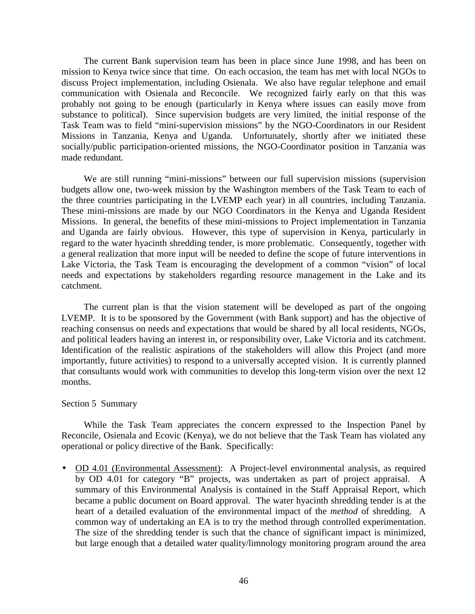The current Bank supervision team has been in place since June 1998, and has been on mission to Kenya twice since that time. On each occasion, the team has met with local NGOs to discuss Project implementation, including Osienala. We also have regular telephone and email communication with Osienala and Reconcile. We recognized fairly early on that this was probably not going to be enough (particularly in Kenya where issues can easily move from substance to political). Since supervision budgets are very limited, the initial response of the Task Team was to field "mini-supervision missions" by the NGO-Coordinators in our Resident Missions in Tanzania, Kenya and Uganda. Unfortunately, shortly after we initiated these socially/public participation-oriented missions, the NGO-Coordinator position in Tanzania was made redundant.

We are still running "mini-missions" between our full supervision missions (supervision budgets allow one, two-week mission by the Washington members of the Task Team to each of the three countries participating in the LVEMP each year) in all countries, including Tanzania. These mini-missions are made by our NGO Coordinators in the Kenya and Uganda Resident Missions. In general, the benefits of these mini-missions to Project implementation in Tanzania and Uganda are fairly obvious. However, this type of supervision in Kenya, particularly in regard to the water hyacinth shredding tender, is more problematic. Consequently, together with a general realization that more input will be needed to define the scope of future interventions in Lake Victoria, the Task Team is encouraging the development of a common "vision" of local needs and expectations by stakeholders regarding resource management in the Lake and its catchment.

The current plan is that the vision statement will be developed as part of the ongoing LVEMP. It is to be sponsored by the Government (with Bank support) and has the objective of reaching consensus on needs and expectations that would be shared by all local residents, NGOs, and political leaders having an interest in, or responsibility over, Lake Victoria and its catchment. Identification of the realistic aspirations of the stakeholders will allow this Project (and more importantly, future activities) to respond to a universally accepted vision. It is currently planned that consultants would work with communities to develop this long-term vision over the next 12 months.

#### Section 5 Summary

While the Task Team appreciates the concern expressed to the Inspection Panel by Reconcile, Osienala and Ecovic (Kenya), we do not believe that the Task Team has violated any operational or policy directive of the Bank. Specifically:

• OD 4.01 (Environmental Assessment): A Project-level environmental analysis, as required by OD 4.01 for category "B" projects, was undertaken as part of project appraisal. A summary of this Environmental Analysis is contained in the Staff Appraisal Report, which became a public document on Board approval. The water hyacinth shredding tender is at the heart of a detailed evaluation of the environmental impact of the *method* of shredding. A common way of undertaking an EA is to try the method through controlled experimentation. The size of the shredding tender is such that the chance of significant impact is minimized, but large enough that a detailed water quality/limnology monitoring program around the area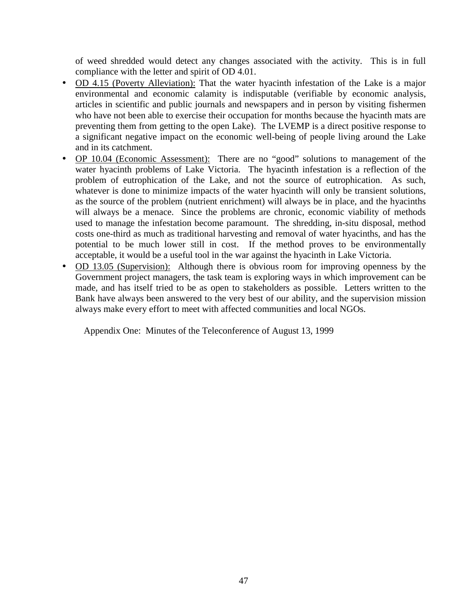of weed shredded would detect any changes associated with the activity. This is in full compliance with the letter and spirit of OD 4.01.

- OD 4.15 (Poverty Alleviation): That the water hyacinth infestation of the Lake is a major environmental and economic calamity is indisputable (verifiable by economic analysis, articles in scientific and public journals and newspapers and in person by visiting fishermen who have not been able to exercise their occupation for months because the hyacinth mats are preventing them from getting to the open Lake). The LVEMP is a direct positive response to a significant negative impact on the economic well-being of people living around the Lake and in its catchment.
- OP 10.04 (Economic Assessment): There are no "good" solutions to management of the water hyacinth problems of Lake Victoria. The hyacinth infestation is a reflection of the problem of eutrophication of the Lake, and not the source of eutrophication. As such, whatever is done to minimize impacts of the water hyacinth will only be transient solutions, as the source of the problem (nutrient enrichment) will always be in place, and the hyacinths will always be a menace. Since the problems are chronic, economic viability of methods used to manage the infestation become paramount. The shredding, in-situ disposal, method costs one-third as much as traditional harvesting and removal of water hyacinths, and has the potential to be much lower still in cost. If the method proves to be environmentally acceptable, it would be a useful tool in the war against the hyacinth in Lake Victoria.
- OD 13.05 (Supervision): Although there is obvious room for improving openness by the Government project managers, the task team is exploring ways in which improvement can be made, and has itself tried to be as open to stakeholders as possible. Letters written to the Bank have always been answered to the very best of our ability, and the supervision mission always make every effort to meet with affected communities and local NGOs.

Appendix One: Minutes of the Teleconference of August 13, 1999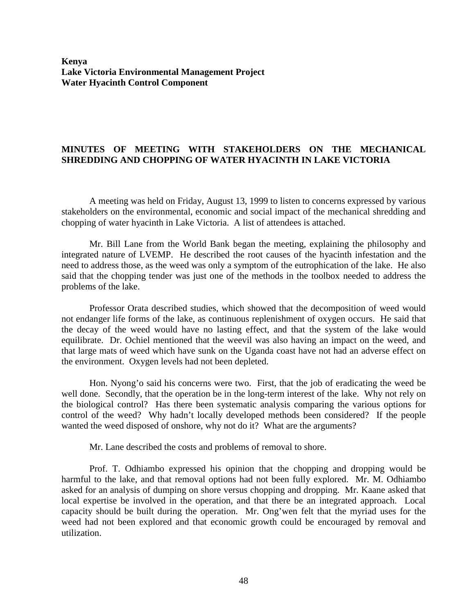**Kenya Lake Victoria Environmental Management Project Water Hyacinth Control Component**

# **MINUTES OF MEETING WITH STAKEHOLDERS ON THE MECHANICAL SHREDDING AND CHOPPING OF WATER HYACINTH IN LAKE VICTORIA**

A meeting was held on Friday, August 13, 1999 to listen to concerns expressed by various stakeholders on the environmental, economic and social impact of the mechanical shredding and chopping of water hyacinth in Lake Victoria. A list of attendees is attached.

Mr. Bill Lane from the World Bank began the meeting, explaining the philosophy and integrated nature of LVEMP. He described the root causes of the hyacinth infestation and the need to address those, as the weed was only a symptom of the eutrophication of the lake. He also said that the chopping tender was just one of the methods in the toolbox needed to address the problems of the lake.

Professor Orata described studies, which showed that the decomposition of weed would not endanger life forms of the lake, as continuous replenishment of oxygen occurs. He said that the decay of the weed would have no lasting effect, and that the system of the lake would equilibrate. Dr. Ochiel mentioned that the weevil was also having an impact on the weed, and that large mats of weed which have sunk on the Uganda coast have not had an adverse effect on the environment. Oxygen levels had not been depleted.

Hon. Nyong'o said his concerns were two. First, that the job of eradicating the weed be well done. Secondly, that the operation be in the long-term interest of the lake. Why not rely on the biological control? Has there been systematic analysis comparing the various options for control of the weed? Why hadn't locally developed methods been considered? If the people wanted the weed disposed of onshore, why not do it? What are the arguments?

Mr. Lane described the costs and problems of removal to shore.

Prof. T. Odhiambo expressed his opinion that the chopping and dropping would be harmful to the lake, and that removal options had not been fully explored. Mr. M. Odhiambo asked for an analysis of dumping on shore versus chopping and dropping. Mr. Kaane asked that local expertise be involved in the operation, and that there be an integrated approach. Local capacity should be built during the operation. Mr. Ong'wen felt that the myriad uses for the weed had not been explored and that economic growth could be encouraged by removal and utilization.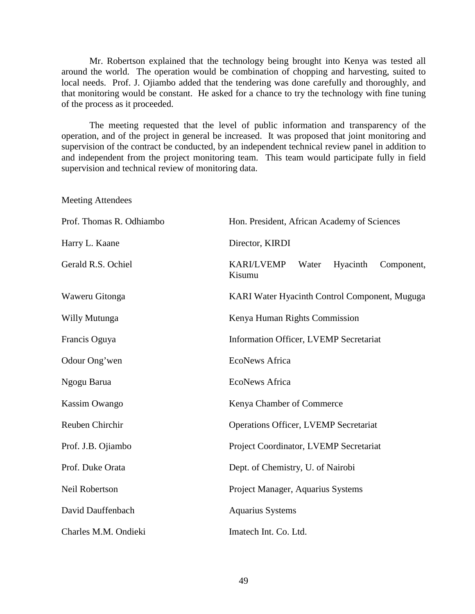Mr. Robertson explained that the technology being brought into Kenya was tested all around the world. The operation would be combination of chopping and harvesting, suited to local needs. Prof. J. Ojiambo added that the tendering was done carefully and thoroughly, and that monitoring would be constant. He asked for a chance to try the technology with fine tuning of the process as it proceeded.

The meeting requested that the level of public information and transparency of the operation, and of the project in general be increased. It was proposed that joint monitoring and supervision of the contract be conducted, by an independent technical review panel in addition to and independent from the project monitoring team. This team would participate fully in field supervision and technical review of monitoring data.

Meeting Attendees

| Prof. Thomas R. Odhiambo | Hon. President, African Academy of Sciences                    |
|--------------------------|----------------------------------------------------------------|
| Harry L. Kaane           | Director, KIRDI                                                |
| Gerald R.S. Ochiel       | <b>KARI/LVEMP</b><br>Water<br>Hyacinth<br>Component,<br>Kisumu |
| Waweru Gitonga           | KARI Water Hyacinth Control Component, Muguga                  |
| Willy Mutunga            | Kenya Human Rights Commission                                  |
| Francis Oguya            | Information Officer, LVEMP Secretariat                         |
| Odour Ong'wen            | <b>EcoNews Africa</b>                                          |
| Ngogu Barua              | <b>EcoNews Africa</b>                                          |
| Kassim Owango            | Kenya Chamber of Commerce                                      |
| Reuben Chirchir          | Operations Officer, LVEMP Secretariat                          |
| Prof. J.B. Ojiambo       | Project Coordinator, LVEMP Secretariat                         |
| Prof. Duke Orata         | Dept. of Chemistry, U. of Nairobi                              |
| Neil Robertson           | Project Manager, Aquarius Systems                              |
| David Dauffenbach        | <b>Aquarius Systems</b>                                        |
| Charles M.M. Ondieki     | Imatech Int. Co. Ltd.                                          |